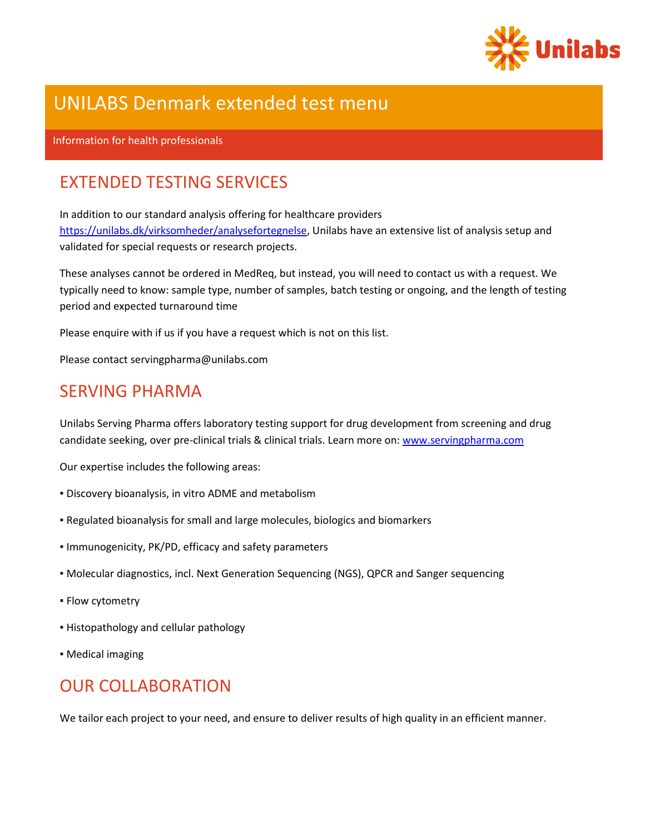

# UNILABS Denmark extended test menu

#### Information for health professionals

## EXTENDED TESTING SERVICES

In addition to our standard analysis offering for healthcare providers [https://unilabs.dk/virksomheder/analysefortegnelse,](https://unilabs.dk/virksomheder/analysefortegnelse) Unilabs have an extensive list of analysis setup and validated for special requests or research projects.

These analyses cannot be ordered in MedReq, but instead, you will need to contact us with a request. We typically need to know: sample type, number of samples, batch testing or ongoing, and the length of testing period and expected turnaround time

Please enquire with if us if you have a request which is not on this list.

Please contact servingpharma@unilabs.com

## SERVING PHARMA

Unilabs Serving Pharma offers laboratory testing support for drug development from screening and drug candidate seeking, over pre-clinical trials & clinical trials. Learn more on: [www.servingpharma.com](http://www.servingpharma.com/)

Our expertise includes the following areas:

- Discovery bioanalysis, in vitro ADME and metabolism
- Regulated bioanalysis for small and large molecules, biologics and biomarkers
- Immunogenicity, PK/PD, efficacy and safety parameters
- Molecular diagnostics, incl. Next Generation Sequencing (NGS), QPCR and Sanger sequencing
- **Flow cytometry**
- Histopathology and cellular pathology
- **Medical imaging**

## OUR COLLABORATION

We tailor each project to your need, and ensure to deliver results of high quality in an efficient manner.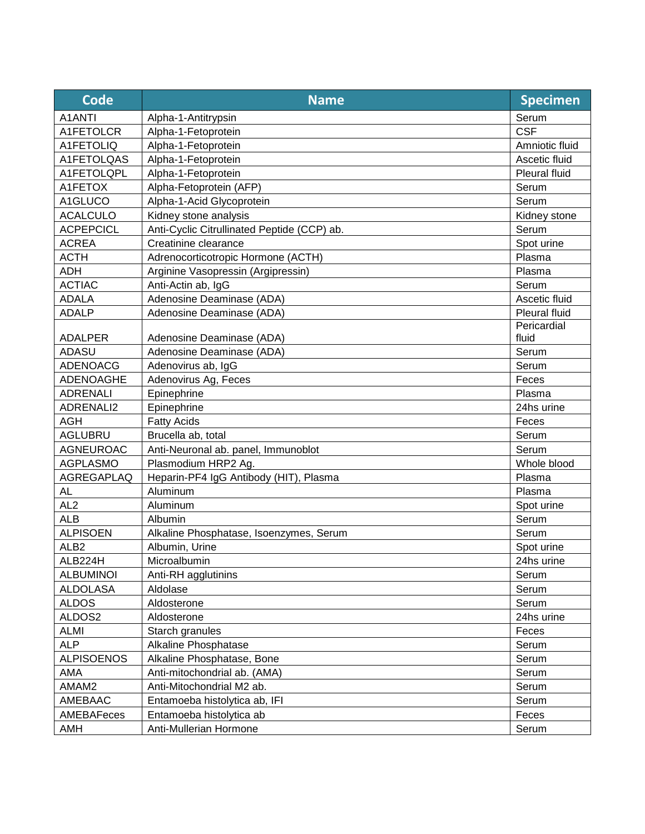| <b>Code</b>       | <b>Name</b>                                 | <b>Specimen</b> |
|-------------------|---------------------------------------------|-----------------|
| A1ANTI            | Alpha-1-Antitrypsin                         | Serum           |
| A1FETOLCR         | Alpha-1-Fetoprotein                         | <b>CSF</b>      |
| A1FETOLIQ         | Alpha-1-Fetoprotein                         | Amniotic fluid  |
| A1FETOLQAS        | Alpha-1-Fetoprotein                         | Ascetic fluid   |
| A1FETOLQPL        | Alpha-1-Fetoprotein                         | Pleural fluid   |
| A1FETOX           | Alpha-Fetoprotein (AFP)                     | Serum           |
| A1GLUCO           | Alpha-1-Acid Glycoprotein                   | Serum           |
| <b>ACALCULO</b>   | Kidney stone analysis                       | Kidney stone    |
| <b>ACPEPCICL</b>  | Anti-Cyclic Citrullinated Peptide (CCP) ab. | Serum           |
| <b>ACREA</b>      | Creatinine clearance                        | Spot urine      |
| <b>ACTH</b>       | Adrenocorticotropic Hormone (ACTH)          | Plasma          |
| <b>ADH</b>        | Arginine Vasopressin (Argipressin)          | Plasma          |
| <b>ACTIAC</b>     | Anti-Actin ab, IgG                          | Serum           |
| <b>ADALA</b>      | Adenosine Deaminase (ADA)                   | Ascetic fluid   |
| <b>ADALP</b>      | Adenosine Deaminase (ADA)                   | Pleural fluid   |
|                   |                                             | Pericardial     |
| <b>ADALPER</b>    | Adenosine Deaminase (ADA)                   | fluid           |
| <b>ADASU</b>      | Adenosine Deaminase (ADA)                   | Serum           |
| <b>ADENOACG</b>   | Adenovirus ab, IgG                          | Serum           |
| ADENOAGHE         | Adenovirus Ag, Feces                        | Feces           |
| <b>ADRENALI</b>   | Epinephrine                                 | Plasma          |
| ADRENALI2         | Epinephrine                                 | 24hs urine      |
| <b>AGH</b>        | <b>Fatty Acids</b>                          | Feces           |
| <b>AGLUBRU</b>    | Brucella ab, total                          | Serum           |
| <b>AGNEUROAC</b>  | Anti-Neuronal ab. panel, Immunoblot         | Serum           |
| <b>AGPLASMO</b>   | Plasmodium HRP2 Ag.                         | Whole blood     |
| AGREGAPLAQ        | Heparin-PF4 IgG Antibody (HIT), Plasma      | Plasma          |
| AL                | Aluminum                                    | Plasma          |
| AL <sub>2</sub>   | Aluminum                                    | Spot urine      |
| <b>ALB</b>        | Albumin                                     | Serum           |
| <b>ALPISOEN</b>   | Alkaline Phosphatase, Isoenzymes, Serum     | Serum           |
| ALB <sub>2</sub>  | Albumin, Urine                              | Spot urine      |
| ALB224H           | Microalbumin                                | 24hs urine      |
| <b>ALBUMINOI</b>  | Anti-RH agglutinins                         | Serum           |
| <b>ALDOLASA</b>   | Aldolase                                    | Serum           |
| <b>ALDOS</b>      | Aldosterone                                 | Serum           |
| ALDOS2            | Aldosterone                                 | 24hs urine      |
| <b>ALMI</b>       | Starch granules                             | Feces           |
| <b>ALP</b>        | Alkaline Phosphatase                        | Serum           |
| <b>ALPISOENOS</b> | Alkaline Phosphatase, Bone                  | Serum           |
| AMA               | Anti-mitochondrial ab. (AMA)                | Serum           |
| AMAM2             | Anti-Mitochondrial M2 ab.                   | Serum           |
| AMEBAAC           | Entamoeba histolytica ab, IFI               | Serum           |
| AMEBAFeces        | Entamoeba histolytica ab                    | Feces           |
| AMH               | Anti-Mullerian Hormone                      | Serum           |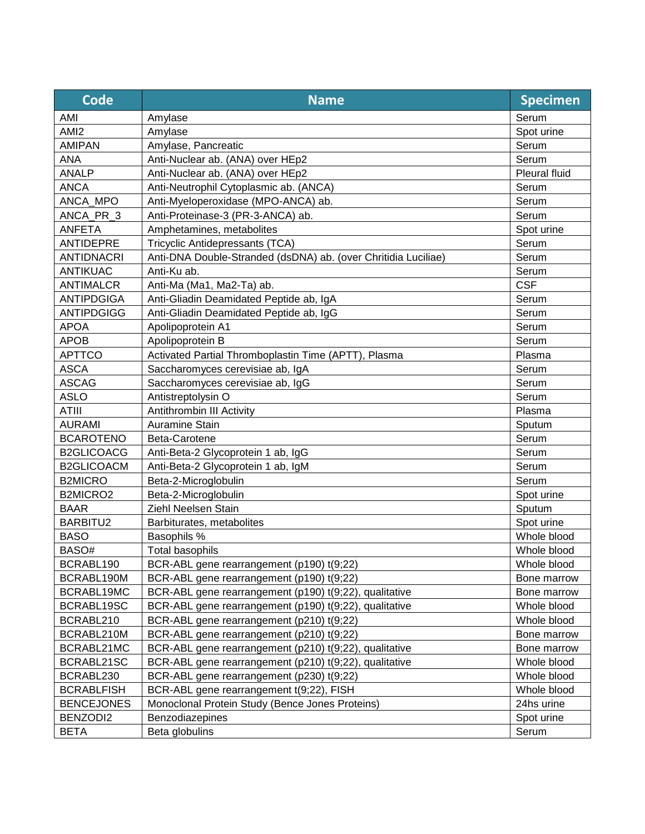| Code              | <b>Name</b>                                                    | <b>Specimen</b> |
|-------------------|----------------------------------------------------------------|-----------------|
| AMI               | Amylase                                                        | Serum           |
| AMI <sub>2</sub>  | Amylase                                                        | Spot urine      |
| <b>AMIPAN</b>     | Amylase, Pancreatic                                            | Serum           |
| <b>ANA</b>        | Anti-Nuclear ab. (ANA) over HEp2                               | Serum           |
| <b>ANALP</b>      | Anti-Nuclear ab. (ANA) over HEp2                               | Pleural fluid   |
| <b>ANCA</b>       | Anti-Neutrophil Cytoplasmic ab. (ANCA)                         | Serum           |
| ANCA_MPO          | Anti-Myeloperoxidase (MPO-ANCA) ab.                            | Serum           |
| ANCA_PR 3         | Anti-Proteinase-3 (PR-3-ANCA) ab.                              | Serum           |
| <b>ANFETA</b>     | Amphetamines, metabolites                                      | Spot urine      |
| ANTIDEPRE         | Tricyclic Antidepressants (TCA)                                | Serum           |
| <b>ANTIDNACRI</b> | Anti-DNA Double-Stranded (dsDNA) ab. (over Chritidia Luciliae) | Serum           |
| <b>ANTIKUAC</b>   | Anti-Ku ab.                                                    | Serum           |
| <b>ANTIMALCR</b>  | Anti-Ma (Ma1, Ma2-Ta) ab.                                      | <b>CSF</b>      |
| <b>ANTIPDGIGA</b> | Anti-Gliadin Deamidated Peptide ab, IgA                        | Serum           |
| <b>ANTIPDGIGG</b> | Anti-Gliadin Deamidated Peptide ab, IgG                        | Serum           |
| <b>APOA</b>       | Apolipoprotein A1                                              | Serum           |
| <b>APOB</b>       | Apolipoprotein B                                               | Serum           |
| <b>APTTCO</b>     | Activated Partial Thromboplastin Time (APTT), Plasma           | Plasma          |
| <b>ASCA</b>       | Saccharomyces cerevisiae ab, IgA                               | Serum           |
| <b>ASCAG</b>      | Saccharomyces cerevisiae ab, IgG                               | Serum           |
| <b>ASLO</b>       | Antistreptolysin O                                             | Serum           |
| <b>ATIII</b>      | Antithrombin III Activity                                      | Plasma          |
| <b>AURAMI</b>     | <b>Auramine Stain</b>                                          | Sputum          |
| <b>BCAROTENO</b>  | Beta-Carotene                                                  | Serum           |
| <b>B2GLICOACG</b> | Anti-Beta-2 Glycoprotein 1 ab, IgG                             | Serum           |
| <b>B2GLICOACM</b> | Anti-Beta-2 Glycoprotein 1 ab, IgM                             | Serum           |
| <b>B2MICRO</b>    | Beta-2-Microglobulin                                           | Serum           |
| B2MICRO2          | Beta-2-Microglobulin                                           | Spot urine      |
| <b>BAAR</b>       | Ziehl Neelsen Stain                                            | Sputum          |
| BARBITU2          | Barbiturates, metabolites                                      | Spot urine      |
| <b>BASO</b>       | Basophils %                                                    | Whole blood     |
| BASO#             | <b>Total basophils</b>                                         | Whole blood     |
| BCRABL190         | BCR-ABL gene rearrangement (p190) t(9;22)                      | Whole blood     |
| BCRABL190M        | BCR-ABL gene rearrangement (p190) t(9;22)                      | Bone marrow     |
| BCRABL19MC        | BCR-ABL gene rearrangement (p190) t(9;22), qualitative         | Bone marrow     |
| BCRABL19SC        | BCR-ABL gene rearrangement (p190) t(9;22), qualitative         | Whole blood     |
| BCRABL210         | BCR-ABL gene rearrangement (p210) t(9;22)                      | Whole blood     |
| BCRABL210M        | BCR-ABL gene rearrangement (p210) t(9;22)                      | Bone marrow     |
| BCRABL21MC        | BCR-ABL gene rearrangement (p210) t(9;22), qualitative         | Bone marrow     |
| BCRABL21SC        | BCR-ABL gene rearrangement (p210) t(9;22), qualitative         | Whole blood     |
| BCRABL230         | BCR-ABL gene rearrangement (p230) t(9;22)                      | Whole blood     |
| <b>BCRABLFISH</b> | BCR-ABL gene rearrangement t(9;22), FISH                       | Whole blood     |
| <b>BENCEJONES</b> | Monoclonal Protein Study (Bence Jones Proteins)                | 24hs urine      |
| BENZODI2          | Benzodiazepines                                                | Spot urine      |
| <b>BETA</b>       | Beta globulins                                                 | Serum           |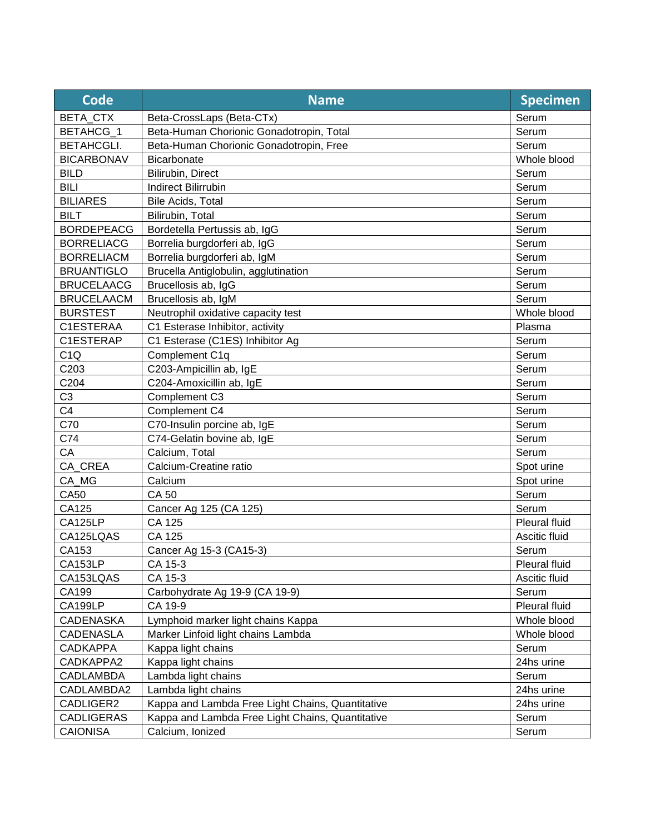| Code              | <b>Name</b>                                      | <b>Specimen</b>      |
|-------------------|--------------------------------------------------|----------------------|
| BETA_CTX          | Beta-CrossLaps (Beta-CTx)                        | Serum                |
| BETAHCG 1         | Beta-Human Chorionic Gonadotropin, Total         | Serum                |
| <b>BETAHCGLI.</b> | Beta-Human Chorionic Gonadotropin, Free          | Serum                |
| <b>BICARBONAV</b> | Bicarbonate                                      | Whole blood          |
| <b>BILD</b>       | Bilirubin, Direct                                | Serum                |
| <b>BILI</b>       | <b>Indirect Bilirrubin</b>                       | Serum                |
| <b>BILIARES</b>   | Bile Acids, Total                                | Serum                |
| <b>BILT</b>       | Bilirubin, Total                                 | Serum                |
| <b>BORDEPEACG</b> | Bordetella Pertussis ab, IgG                     | Serum                |
| <b>BORRELIACG</b> | Borrelia burgdorferi ab, IgG                     | Serum                |
| <b>BORRELIACM</b> | Borrelia burgdorferi ab, IgM                     | Serum                |
| <b>BRUANTIGLO</b> | Brucella Antiglobulin, agglutination             | Serum                |
| <b>BRUCELAACG</b> | Brucellosis ab, IgG                              | Serum                |
| <b>BRUCELAACM</b> | Brucellosis ab, IgM                              | Serum                |
| <b>BURSTEST</b>   | Neutrophil oxidative capacity test               | Whole blood          |
| C1ESTERAA         | C1 Esterase Inhibitor, activity                  | Plasma               |
| C1ESTERAP         | C1 Esterase (C1ES) Inhibitor Ag                  | Serum                |
| C1Q               | Complement C1q                                   | Serum                |
| C203              | C203-Ampicillin ab, IgE                          | Serum                |
| C204              | C204-Amoxicillin ab, IgE                         | Serum                |
| C <sub>3</sub>    | Complement C3                                    | Serum                |
| C <sub>4</sub>    | Complement C4                                    | Serum                |
| C70               | C70-Insulin porcine ab, IgE                      | Serum                |
| C74               | C74-Gelatin bovine ab, IgE                       | Serum                |
| CA                | Calcium, Total                                   | Serum                |
| CA CREA           | Calcium-Creatine ratio                           | Spot urine           |
| CA_MG             | Calcium                                          | Spot urine           |
| <b>CA50</b>       | <b>CA 50</b>                                     | Serum                |
| CA125             | Cancer Ag 125 (CA 125)                           | Serum                |
| CA125LP           | CA 125                                           | <b>Pleural fluid</b> |
| CA125LQAS         | CA 125                                           | Ascitic fluid        |
| CA153             | Cancer Ag 15-3 (CA15-3)                          | Serum                |
| CA153LP           | CA 15-3                                          | Pleural fluid        |
| CA153LQAS         | CA 15-3                                          | Ascitic fluid        |
| CA199             | Carbohydrate Ag 19-9 (CA 19-9)                   | Serum                |
| CA199LP           | CA 19-9                                          | Pleural fluid        |
| <b>CADENASKA</b>  | Lymphoid marker light chains Kappa               | Whole blood          |
| <b>CADENASLA</b>  | Marker Linfoid light chains Lambda               | Whole blood          |
| <b>CADKAPPA</b>   | Kappa light chains                               | Serum                |
| CADKAPPA2         | Kappa light chains                               | 24hs urine           |
| <b>CADLAMBDA</b>  | Lambda light chains                              | Serum                |
| CADLAMBDA2        | Lambda light chains                              | 24hs urine           |
| CADLIGER2         | Kappa and Lambda Free Light Chains, Quantitative | 24hs urine           |
| <b>CADLIGERAS</b> | Kappa and Lambda Free Light Chains, Quantitative | Serum                |
| <b>CAIONISA</b>   | Calcium, Ionized                                 | Serum                |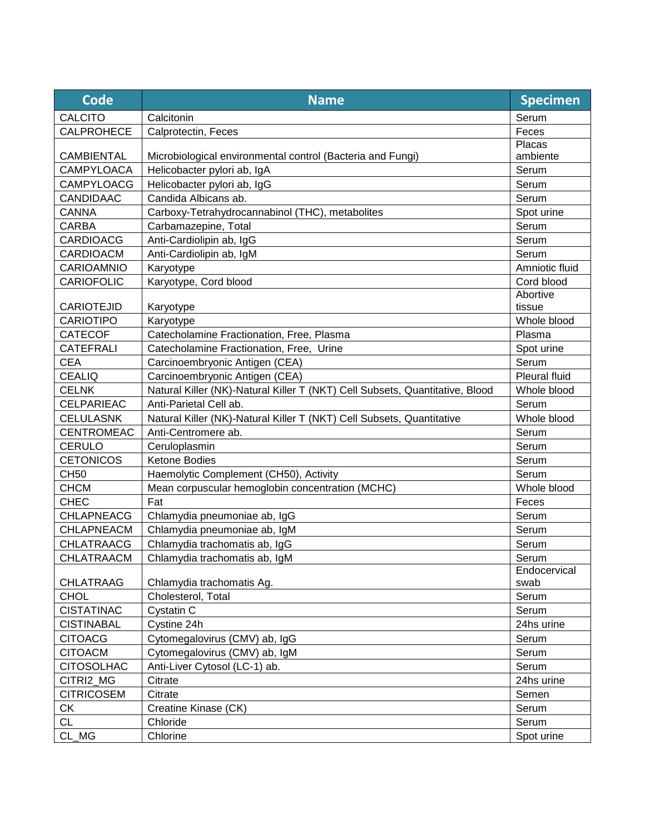| <b>Code</b>       | <b>Name</b>                                                                  | <b>Specimen</b> |
|-------------------|------------------------------------------------------------------------------|-----------------|
| <b>CALCITO</b>    | Calcitonin                                                                   | Serum           |
| <b>CALPROHECE</b> | Calprotectin, Feces                                                          | Feces           |
|                   |                                                                              | Placas          |
| <b>CAMBIENTAL</b> | Microbiological environmental control (Bacteria and Fungi)                   | ambiente        |
| <b>CAMPYLOACA</b> | Helicobacter pylori ab, IgA                                                  | Serum           |
| <b>CAMPYLOACG</b> | Helicobacter pylori ab, IgG                                                  | Serum           |
| <b>CANDIDAAC</b>  | Candida Albicans ab.                                                         | Serum           |
| <b>CANNA</b>      | Carboxy-Tetrahydrocannabinol (THC), metabolites                              | Spot urine      |
| CARBA             | Carbamazepine, Total                                                         | Serum           |
| <b>CARDIOACG</b>  | Anti-Cardiolipin ab, IgG                                                     | Serum           |
| <b>CARDIOACM</b>  | Anti-Cardiolipin ab, IgM                                                     | Serum           |
| CARIOAMNIO        | Karyotype                                                                    | Amniotic fluid  |
| <b>CARIOFOLIC</b> | Karyotype, Cord blood                                                        | Cord blood      |
|                   |                                                                              | Abortive        |
| <b>CARIOTEJID</b> | Karyotype                                                                    | tissue          |
| <b>CARIOTIPO</b>  | Karyotype                                                                    | Whole blood     |
| <b>CATECOF</b>    | Catecholamine Fractionation, Free, Plasma                                    | Plasma          |
| <b>CATEFRALI</b>  | Catecholamine Fractionation, Free, Urine                                     | Spot urine      |
| <b>CEA</b>        | Carcinoembryonic Antigen (CEA)                                               | Serum           |
| <b>CEALIQ</b>     | Carcinoembryonic Antigen (CEA)                                               | Pleural fluid   |
| <b>CELNK</b>      | Natural Killer (NK)-Natural Killer T (NKT) Cell Subsets, Quantitative, Blood | Whole blood     |
| <b>CELPARIEAC</b> | Anti-Parietal Cell ab.                                                       | Serum           |
| <b>CELULASNK</b>  | Natural Killer (NK)-Natural Killer T (NKT) Cell Subsets, Quantitative        | Whole blood     |
| <b>CENTROMEAC</b> | Anti-Centromere ab.                                                          | Serum           |
| <b>CERULO</b>     | Ceruloplasmin                                                                | Serum           |
| <b>CETONICOS</b>  | Ketone Bodies                                                                | Serum           |
| <b>CH50</b>       | Haemolytic Complement (CH50), Activity                                       | Serum           |
| <b>CHCM</b>       | Mean corpuscular hemoglobin concentration (MCHC)                             | Whole blood     |
| <b>CHEC</b>       | Fat                                                                          | Feces           |
| <b>CHLAPNEACG</b> | Chlamydia pneumoniae ab, IgG                                                 | Serum           |
| CHLAPNEACM        | Chlamydia pneumoniae ab, IgM                                                 | Serum           |
| <b>CHLATRAACG</b> | Chlamydia trachomatis ab, IgG                                                | Serum           |
| CHLATRAACM        | Chlamydia trachomatis ab, IgM                                                | Serum           |
|                   |                                                                              | Endocervical    |
| <b>CHLATRAAG</b>  | Chlamydia trachomatis Ag.                                                    | swab            |
| <b>CHOL</b>       | Cholesterol, Total                                                           | Serum           |
| <b>CISTATINAC</b> | Cystatin C                                                                   | Serum           |
| <b>CISTINABAL</b> | Cystine 24h                                                                  | 24hs urine      |
| <b>CITOACG</b>    | Cytomegalovirus (CMV) ab, IgG                                                | Serum           |
| <b>CITOACM</b>    | Cytomegalovirus (CMV) ab, IgM                                                | Serum           |
| <b>CITOSOLHAC</b> | Anti-Liver Cytosol (LC-1) ab.                                                | Serum           |
| CITRI2_MG         | Citrate                                                                      | 24hs urine      |
| <b>CITRICOSEM</b> | Citrate                                                                      | Semen           |
| <b>CK</b>         | Creatine Kinase (CK)                                                         | Serum           |
| <b>CL</b>         | Chloride                                                                     | Serum           |
| CL MG             | Chlorine                                                                     | Spot urine      |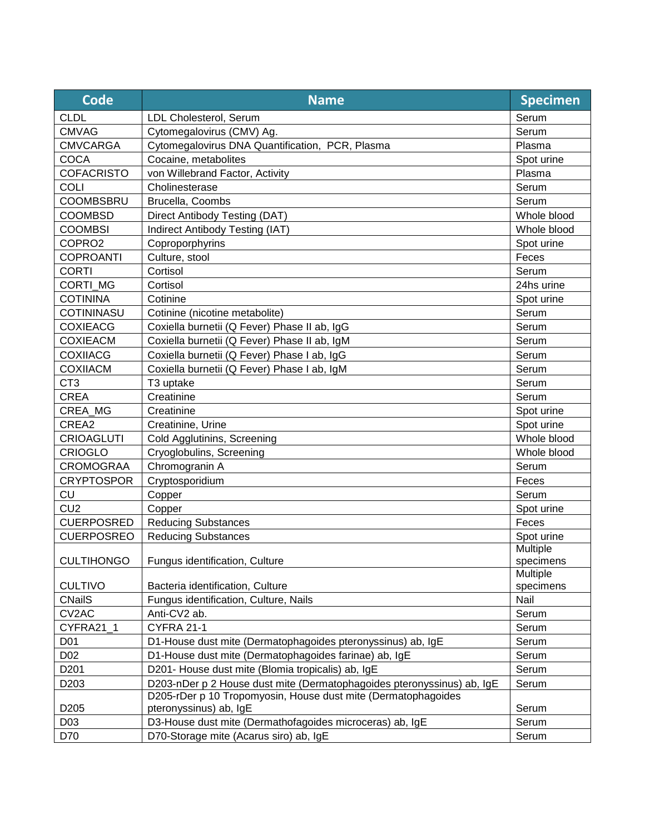| <b>CLDL</b><br>Serum<br>LDL Cholesterol, Serum<br><b>CMVAG</b><br>Cytomegalovirus (CMV) Ag.<br>Serum<br><b>CMVCARGA</b><br>Cytomegalovirus DNA Quantification, PCR, Plasma<br>Plasma<br>COCA<br>Cocaine, metabolites<br>Spot urine<br><b>COFACRISTO</b><br>Plasma<br>von Willebrand Factor, Activity |  |
|------------------------------------------------------------------------------------------------------------------------------------------------------------------------------------------------------------------------------------------------------------------------------------------------------|--|
|                                                                                                                                                                                                                                                                                                      |  |
|                                                                                                                                                                                                                                                                                                      |  |
|                                                                                                                                                                                                                                                                                                      |  |
|                                                                                                                                                                                                                                                                                                      |  |
|                                                                                                                                                                                                                                                                                                      |  |
| <b>COLI</b><br>Serum<br>Cholinesterase                                                                                                                                                                                                                                                               |  |
| <b>COOMBSBRU</b><br>Brucella, Coombs<br>Serum                                                                                                                                                                                                                                                        |  |
| <b>COOMBSD</b><br>Direct Antibody Testing (DAT)<br>Whole blood                                                                                                                                                                                                                                       |  |
| Indirect Antibody Testing (IAT)<br><b>COOMBSI</b><br>Whole blood                                                                                                                                                                                                                                     |  |
| COPRO2<br>Coproporphyrins<br>Spot urine                                                                                                                                                                                                                                                              |  |
| <b>COPROANTI</b><br>Culture, stool<br>Feces                                                                                                                                                                                                                                                          |  |
| <b>CORTI</b><br>Serum<br>Cortisol                                                                                                                                                                                                                                                                    |  |
| <b>CORTI MG</b><br>Cortisol<br>24hs urine                                                                                                                                                                                                                                                            |  |
| <b>COTININA</b><br>Cotinine<br>Spot urine                                                                                                                                                                                                                                                            |  |
| Serum<br><b>COTININASU</b><br>Cotinine (nicotine metabolite)                                                                                                                                                                                                                                         |  |
| <b>COXIEACG</b><br>Coxiella burnetii (Q Fever) Phase II ab, IgG<br>Serum                                                                                                                                                                                                                             |  |
| Serum<br><b>COXIEACM</b><br>Coxiella burnetii (Q Fever) Phase II ab, IgM                                                                                                                                                                                                                             |  |
| <b>COXIIACG</b><br>Coxiella burnetii (Q Fever) Phase I ab, IgG<br>Serum                                                                                                                                                                                                                              |  |
| <b>COXIIACM</b><br>Coxiella burnetii (Q Fever) Phase I ab, IgM<br>Serum                                                                                                                                                                                                                              |  |
| CT <sub>3</sub><br>Serum<br>T3 uptake                                                                                                                                                                                                                                                                |  |
| <b>CREA</b><br>Creatinine<br>Serum                                                                                                                                                                                                                                                                   |  |
| CREA_MG<br>Spot urine<br>Creatinine                                                                                                                                                                                                                                                                  |  |
| CREA2<br>Creatinine, Urine<br>Spot urine                                                                                                                                                                                                                                                             |  |
| Whole blood<br><b>CRIOAGLUTI</b><br>Cold Agglutinins, Screening                                                                                                                                                                                                                                      |  |
| <b>CRIOGLO</b><br>Cryoglobulins, Screening<br>Whole blood                                                                                                                                                                                                                                            |  |
| Chromogranin A<br><b>CROMOGRAA</b><br>Serum                                                                                                                                                                                                                                                          |  |
| <b>CRYPTOSPOR</b><br>Cryptosporidium<br>Feces                                                                                                                                                                                                                                                        |  |
| CU<br>Copper<br>Serum                                                                                                                                                                                                                                                                                |  |
| CU <sub>2</sub><br>Copper<br>Spot urine                                                                                                                                                                                                                                                              |  |
| <b>CUERPOSRED</b><br><b>Reducing Substances</b><br>Feces                                                                                                                                                                                                                                             |  |
| Spot urine<br><b>CUERPOSREO</b><br><b>Reducing Substances</b>                                                                                                                                                                                                                                        |  |
| Multiple                                                                                                                                                                                                                                                                                             |  |
| <b>CULTIHONGO</b><br>Fungus identification, Culture<br>specimens                                                                                                                                                                                                                                     |  |
| Multiple                                                                                                                                                                                                                                                                                             |  |
| <b>CULTIVO</b><br>Bacteria identification, Culture<br>specimens                                                                                                                                                                                                                                      |  |
| <b>CNailS</b><br>Fungus identification, Culture, Nails<br>Nail                                                                                                                                                                                                                                       |  |
| CV2AC<br>Serum<br>Anti-CV2 ab.                                                                                                                                                                                                                                                                       |  |
| CYFRA21 1<br>CYFRA 21-1<br>Serum                                                                                                                                                                                                                                                                     |  |
| D01<br>D1-House dust mite (Dermatophagoides pteronyssinus) ab, IgE<br>Serum                                                                                                                                                                                                                          |  |
| D02<br>D1-House dust mite (Dermatophagoides farinae) ab, IgE<br>Serum                                                                                                                                                                                                                                |  |
| D201- House dust mite (Blomia tropicalis) ab, IgE<br>D <sub>201</sub><br>Serum                                                                                                                                                                                                                       |  |
| D203-nDer p 2 House dust mite (Dermatophagoides pteronyssinus) ab, IgE<br>D <sub>203</sub><br>Serum<br>D205-rDer p 10 Tropomyosin, House dust mite (Dermatophagoides                                                                                                                                 |  |
| D <sub>205</sub><br>pteronyssinus) ab, IgE<br>Serum                                                                                                                                                                                                                                                  |  |
| D3-House dust mite (Dermathofagoides microceras) ab, IgE<br>D03<br>Serum                                                                                                                                                                                                                             |  |
| D70-Storage mite (Acarus siro) ab, IgE<br>Serum<br>D70                                                                                                                                                                                                                                               |  |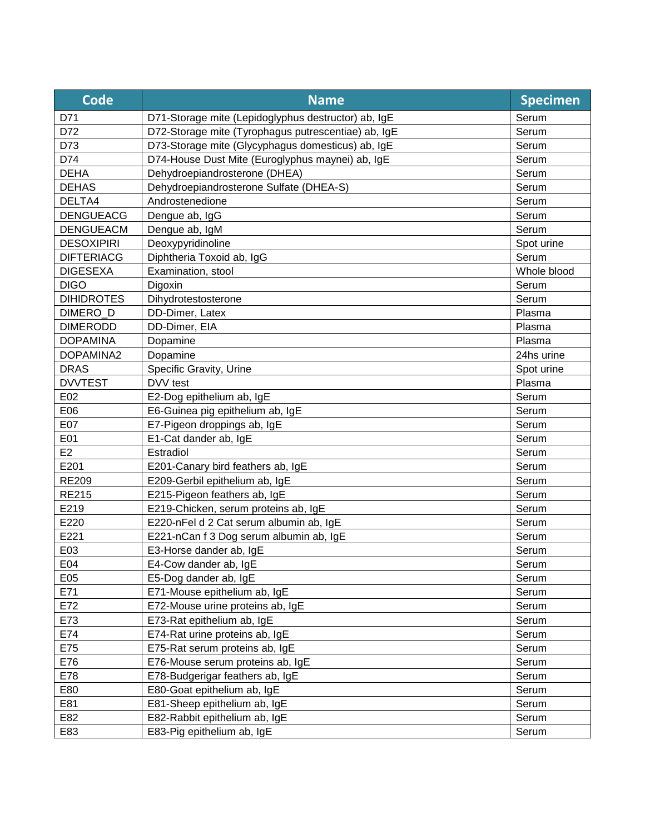| <b>Code</b>       | <b>Name</b>                                         | <b>Specimen</b> |
|-------------------|-----------------------------------------------------|-----------------|
| D71               | D71-Storage mite (Lepidoglyphus destructor) ab, IgE | Serum           |
| D72               | D72-Storage mite (Tyrophagus putrescentiae) ab, IgE | Serum           |
| D73               | D73-Storage mite (Glycyphagus domesticus) ab, IgE   | Serum           |
| D74               | D74-House Dust Mite (Euroglyphus maynei) ab, IgE    | Serum           |
| <b>DEHA</b>       | Dehydroepiandrosterone (DHEA)                       | Serum           |
| <b>DEHAS</b>      | Dehydroepiandrosterone Sulfate (DHEA-S)             | Serum           |
| DELTA4            | Androstenedione                                     | Serum           |
| <b>DENGUEACG</b>  | Dengue ab, IgG                                      | Serum           |
| <b>DENGUEACM</b>  | Dengue ab, IgM                                      | Serum           |
| <b>DESOXIPIRI</b> | Deoxypyridinoline                                   | Spot urine      |
| <b>DIFTERIACG</b> | Diphtheria Toxoid ab, IgG                           | Serum           |
| <b>DIGESEXA</b>   | Examination, stool                                  | Whole blood     |
| <b>DIGO</b>       | Digoxin                                             | Serum           |
| <b>DIHIDROTES</b> | Dihydrotestosterone                                 | Serum           |
| DIMERO_D          | DD-Dimer, Latex                                     | Plasma          |
| <b>DIMERODD</b>   | DD-Dimer, EIA                                       | Plasma          |
| <b>DOPAMINA</b>   | Dopamine                                            | Plasma          |
| DOPAMINA2         | Dopamine                                            | 24hs urine      |
| <b>DRAS</b>       | Specific Gravity, Urine                             | Spot urine      |
| <b>DVVTEST</b>    | DVV test                                            | Plasma          |
| E02               | E2-Dog epithelium ab, IgE                           | Serum           |
| E06               | E6-Guinea pig epithelium ab, IgE                    | Serum           |
| E07               | E7-Pigeon droppings ab, IgE                         | Serum           |
| E01               | E1-Cat dander ab, IgE                               | Serum           |
| E <sub>2</sub>    | Estradiol                                           | Serum           |
| E201              | E201-Canary bird feathers ab, IgE                   | Serum           |
| <b>RE209</b>      | E209-Gerbil epithelium ab, IgE                      | Serum           |
| <b>RE215</b>      | E215-Pigeon feathers ab, IgE                        | Serum           |
| E219              | E219-Chicken, serum proteins ab, IgE                | Serum           |
| E220              | E220-nFel d 2 Cat serum albumin ab, IgE             | Serum           |
| E221              | E221-nCan f 3 Dog serum albumin ab, IgE             | Serum           |
| E03               | E3-Horse dander ab, IgE                             | Serum           |
| E04               | E4-Cow dander ab, IgE                               | Serum           |
| E05               | E5-Dog dander ab, IgE                               | Serum           |
| E71               | E71-Mouse epithelium ab, IgE                        | Serum           |
| E72               | E72-Mouse urine proteins ab, IgE                    | Serum           |
| E73               | E73-Rat epithelium ab, IgE                          | Serum           |
| E74               | E74-Rat urine proteins ab, IgE                      | Serum           |
| E75               | E75-Rat serum proteins ab, IgE                      | Serum           |
| E76               | E76-Mouse serum proteins ab, IgE                    | Serum           |
| E78               | E78-Budgerigar feathers ab, IgE                     | Serum           |
| E80               | E80-Goat epithelium ab, IgE                         | Serum           |
| E81               | E81-Sheep epithelium ab, IgE                        | Serum           |
| E82               | E82-Rabbit epithelium ab, IgE                       | Serum           |
| E83               | E83-Pig epithelium ab, IgE                          | Serum           |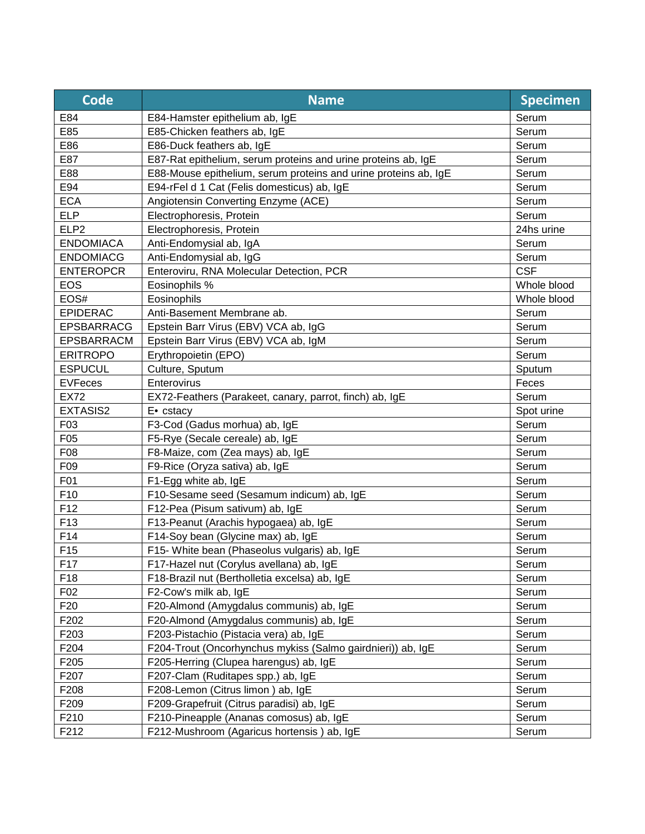| Code              | <b>Name</b>                                                     | <b>Specimen</b> |
|-------------------|-----------------------------------------------------------------|-----------------|
| E84               | E84-Hamster epithelium ab, IgE                                  | Serum           |
| E85               | E85-Chicken feathers ab, IgE                                    | Serum           |
| E86               | E86-Duck feathers ab, IgE                                       | Serum           |
| E87               | E87-Rat epithelium, serum proteins and urine proteins ab, IgE   | Serum           |
| E88               | E88-Mouse epithelium, serum proteins and urine proteins ab, IgE | Serum           |
| E94               | E94-rFel d 1 Cat (Felis domesticus) ab, IgE                     | Serum           |
| <b>ECA</b>        | Angiotensin Converting Enzyme (ACE)                             | Serum           |
| <b>ELP</b>        | Electrophoresis, Protein                                        | Serum           |
| ELP <sub>2</sub>  | Electrophoresis, Protein                                        | 24hs urine      |
| <b>ENDOMIACA</b>  | Anti-Endomysial ab, IgA                                         | Serum           |
| <b>ENDOMIACG</b>  | Anti-Endomysial ab, IgG                                         | Serum           |
| <b>ENTEROPCR</b>  | Enteroviru, RNA Molecular Detection, PCR                        | <b>CSF</b>      |
| <b>EOS</b>        | Eosinophils %                                                   | Whole blood     |
| EOS#              | Eosinophils                                                     | Whole blood     |
| <b>EPIDERAC</b>   | Anti-Basement Membrane ab.                                      | Serum           |
| <b>EPSBARRACG</b> | Epstein Barr Virus (EBV) VCA ab, IgG                            | Serum           |
| <b>EPSBARRACM</b> | Epstein Barr Virus (EBV) VCA ab, IgM                            | Serum           |
| <b>ERITROPO</b>   | Erythropoietin (EPO)                                            | Serum           |
| <b>ESPUCUL</b>    | Culture, Sputum                                                 | Sputum          |
| <b>EVFeces</b>    | Enterovirus                                                     | Feces           |
| <b>EX72</b>       | EX72-Feathers (Parakeet, canary, parrot, finch) ab, IgE         | Serum           |
| EXTASIS2          | E. cstacy                                                       | Spot urine      |
| F03               | F3-Cod (Gadus morhua) ab, IgE                                   | Serum           |
| F05               | F5-Rye (Secale cereale) ab, IgE                                 | Serum           |
| F08               | F8-Maize, com (Zea mays) ab, IgE                                | Serum           |
| F09               | F9-Rice (Oryza sativa) ab, IgE                                  | Serum           |
| F01               | F1-Egg white ab, IgE                                            | Serum           |
| F10               | F10-Sesame seed (Sesamum indicum) ab, IgE                       | Serum           |
| F <sub>12</sub>   | F12-Pea (Pisum sativum) ab, IgE                                 | Serum           |
| F <sub>13</sub>   | F13-Peanut (Arachis hypogaea) ab, IgE                           | Serum           |
| F14               | F14-Soy bean (Glycine max) ab, IgE                              | Serum           |
| F <sub>15</sub>   | F15- White bean (Phaseolus vulgaris) ab, IgE                    | Serum           |
| F17               | F17-Hazel nut (Corylus avellana) ab, IgE                        | Serum           |
| F <sub>18</sub>   | F18-Brazil nut (Bertholletia excelsa) ab, IgE                   | Serum           |
| F02               | F2-Cow's milk ab, IgE                                           | Serum           |
| F <sub>20</sub>   | F20-Almond (Amygdalus communis) ab, IgE                         | Serum           |
| F202              | F20-Almond (Amygdalus communis) ab, IgE                         | Serum           |
| F203              | F203-Pistachio (Pistacia vera) ab, IgE                          | Serum           |
| F204              | F204-Trout (Oncorhynchus mykiss (Salmo gairdnieri)) ab, IgE     | Serum           |
| F205              | F205-Herring (Clupea harengus) ab, IgE                          | Serum           |
| F207              | F207-Clam (Ruditapes spp.) ab, IgE                              | Serum           |
| F208              | F208-Lemon (Citrus limon) ab, IgE                               | Serum           |
| F209              | F209-Grapefruit (Citrus paradisi) ab, IgE                       | Serum           |
| F210              | F210-Pineapple (Ananas comosus) ab, IgE                         | Serum           |
| F212              | F212-Mushroom (Agaricus hortensis) ab, IgE                      | Serum           |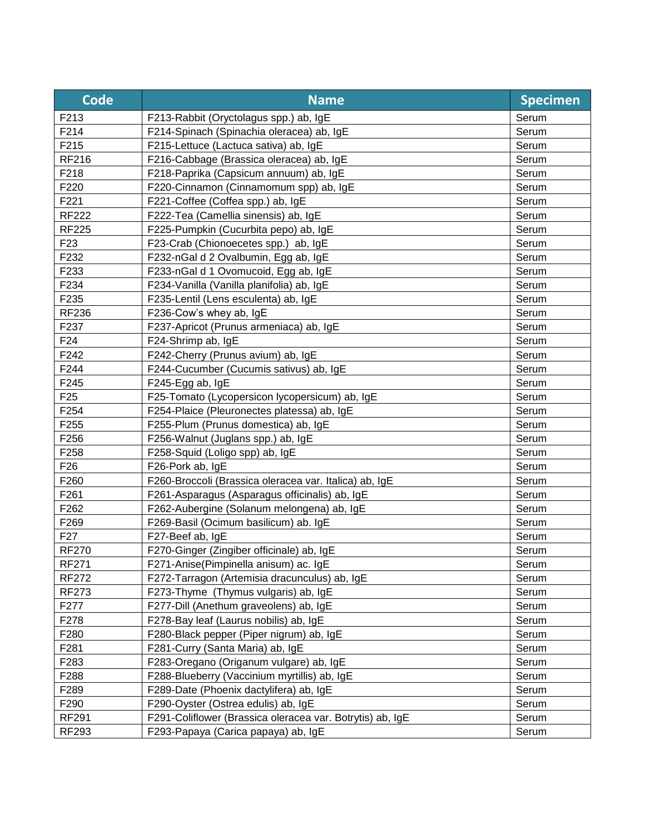| <b>Code</b>     | <b>Name</b>                                               | <b>Specimen</b> |
|-----------------|-----------------------------------------------------------|-----------------|
| F213            | F213-Rabbit (Oryctolagus spp.) ab, IgE                    | Serum           |
| F214            | F214-Spinach (Spinachia oleracea) ab, IgE                 | Serum           |
| F215            | F215-Lettuce (Lactuca sativa) ab, IgE                     | Serum           |
| <b>RF216</b>    | F216-Cabbage (Brassica oleracea) ab, IgE                  | Serum           |
| F218            | F218-Paprika (Capsicum annuum) ab, IgE                    | Serum           |
| F220            | F220-Cinnamon (Cinnamomum spp) ab, IgE                    | Serum           |
| F221            | F221-Coffee (Coffea spp.) ab, IgE                         | Serum           |
| <b>RF222</b>    | F222-Tea (Camellia sinensis) ab, IgE                      | Serum           |
| <b>RF225</b>    | F225-Pumpkin (Cucurbita pepo) ab, IgE                     | Serum           |
| F <sub>23</sub> | F23-Crab (Chionoecetes spp.) ab, IgE                      | Serum           |
| F232            | F232-nGal d 2 Ovalbumin, Egg ab, IgE                      | Serum           |
| F233            | F233-nGal d 1 Ovomucoid, Egg ab, IgE                      | Serum           |
| F234            | F234-Vanilla (Vanilla planifolia) ab, IgE                 | Serum           |
| F235            | F235-Lentil (Lens esculenta) ab, IgE                      | Serum           |
| <b>RF236</b>    | F236-Cow's whey ab, IgE                                   | Serum           |
| F237            | F237-Apricot (Prunus armeniaca) ab, IgE                   | Serum           |
| F <sub>24</sub> | F24-Shrimp ab, IgE                                        | Serum           |
| F242            | F242-Cherry (Prunus avium) ab, IgE                        | Serum           |
| F244            | F244-Cucumber (Cucumis sativus) ab, IgE                   | Serum           |
| F245            | F245-Egg ab, IgE                                          | Serum           |
| F <sub>25</sub> | F25-Tomato (Lycopersicon lycopersicum) ab, IgE            | Serum           |
| F254            | F254-Plaice (Pleuronectes platessa) ab, IgE               | Serum           |
| F255            | F255-Plum (Prunus domestica) ab, IgE                      | Serum           |
| F256            | F256-Walnut (Juglans spp.) ab, IgE                        | Serum           |
| F258            | F258-Squid (Loligo spp) ab, IgE                           | Serum           |
| F <sub>26</sub> | F26-Pork ab, IgE                                          | Serum           |
| F260            | F260-Broccoli (Brassica oleracea var. Italica) ab, IgE    | Serum           |
| F261            | F261-Asparagus (Asparagus officinalis) ab, IgE            | Serum           |
| F262            | F262-Aubergine (Solanum melongena) ab, IgE                | Serum           |
| F269            | F269-Basil (Ocimum basilicum) ab. IgE                     | Serum           |
| F <sub>27</sub> | F27-Beef ab, IgE                                          | Serum           |
| <b>RF270</b>    | F270-Ginger (Zingiber officinale) ab, IgE                 | Serum           |
| <b>RF271</b>    | F271-Anise(Pimpinella anisum) ac. IgE                     | Serum           |
| <b>RF272</b>    | F272-Tarragon (Artemisia dracunculus) ab, IgE             | Serum           |
| <b>RF273</b>    | F273-Thyme (Thymus vulgaris) ab, IgE                      | Serum           |
| F277            | F277-Dill (Anethum graveolens) ab, IgE                    | Serum           |
| F278            | F278-Bay leaf (Laurus nobilis) ab, IgE                    | Serum           |
| F280            | F280-Black pepper (Piper nigrum) ab, IgE                  | Serum           |
| F281            | F281-Curry (Santa Maria) ab, IgE                          | Serum           |
| F283            | F283-Oregano (Origanum vulgare) ab, IgE                   | Serum           |
| F288            | F288-Blueberry (Vaccinium myrtillis) ab, IgE              | Serum           |
| F289            | F289-Date (Phoenix dactylifera) ab, IgE                   | Serum           |
| F290            | F290-Oyster (Ostrea edulis) ab, IgE                       | Serum           |
| <b>RF291</b>    | F291-Coliflower (Brassica oleracea var. Botrytis) ab, IgE | Serum           |
| RF293           | F293-Papaya (Carica papaya) ab, IgE                       | Serum           |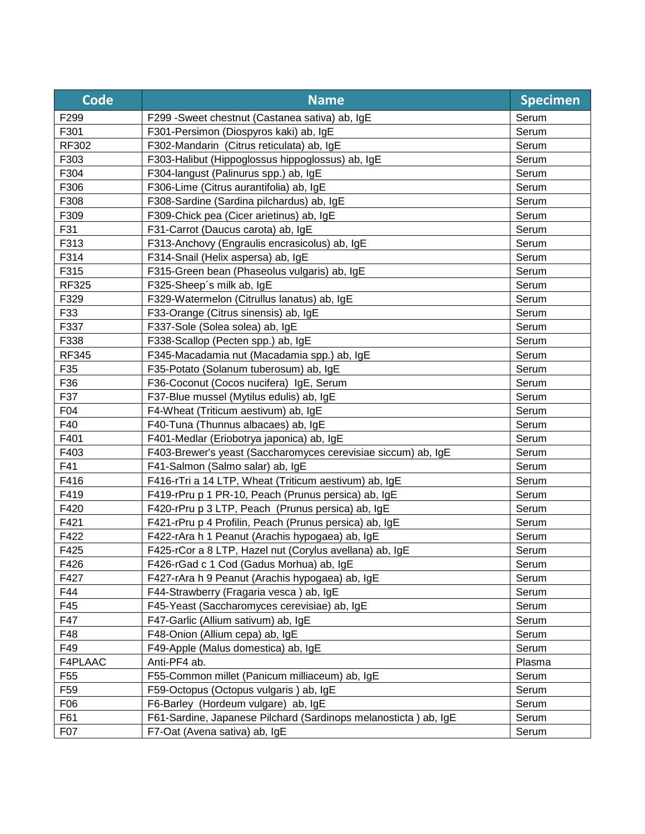| Code             | <b>Name</b>                                                     | <b>Specimen</b> |
|------------------|-----------------------------------------------------------------|-----------------|
| F299             | F299 - Sweet chestnut (Castanea sativa) ab, IgE                 | Serum           |
| F301             | F301-Persimon (Diospyros kaki) ab, IgE                          | Serum           |
| RF302            | F302-Mandarin (Citrus reticulata) ab, IgE                       | Serum           |
| F303             | F303-Halibut (Hippoglossus hippoglossus) ab, IgE                | Serum           |
| F304             | F304-langust (Palinurus spp.) ab, IgE                           | Serum           |
| F306             | F306-Lime (Citrus aurantifolia) ab, IgE                         | Serum           |
| F308             | F308-Sardine (Sardina pilchardus) ab, IgE                       | Serum           |
| F309             | F309-Chick pea (Cicer arietinus) ab, IgE                        | Serum           |
| F31              | F31-Carrot (Daucus carota) ab, IgE                              | Serum           |
| F313             | F313-Anchovy (Engraulis encrasicolus) ab, IgE                   | Serum           |
| F314             | F314-Snail (Helix aspersa) ab, IgE                              | Serum           |
| F315             | F315-Green bean (Phaseolus vulgaris) ab, IgE                    | Serum           |
| <b>RF325</b>     | F325-Sheep's milk ab, IgE                                       | Serum           |
| F329             | F329-Watermelon (Citrullus lanatus) ab, IgE                     | Serum           |
| F33              | F33-Orange (Citrus sinensis) ab, IgE                            | Serum           |
| F337             | F337-Sole (Solea solea) ab, IgE                                 | Serum           |
| F338             | F338-Scallop (Pecten spp.) ab, IgE                              | Serum           |
| <b>RF345</b>     | F345-Macadamia nut (Macadamia spp.) ab, IgE                     | Serum           |
| F35              | F35-Potato (Solanum tuberosum) ab, IgE                          | Serum           |
| F36              | F36-Coconut (Cocos nucifera) IgE, Serum                         | Serum           |
| F37              | F37-Blue mussel (Mytilus edulis) ab, IgE                        | Serum           |
| F04              | F4-Wheat (Triticum aestivum) ab, IgE                            | Serum           |
| F40              | F40-Tuna (Thunnus albacaes) ab, IgE                             | Serum           |
| F401             | F401-Medlar (Eriobotrya japonica) ab, IgE                       | Serum           |
| F403             | F403-Brewer's yeast (Saccharomyces cerevisiae siccum) ab, IgE   | Serum           |
| F41              | F41-Salmon (Salmo salar) ab, IgE                                | Serum           |
| F416             | F416-rTri a 14 LTP, Wheat (Triticum aestivum) ab, IgE           | Serum           |
| F419             | F419-rPru p 1 PR-10, Peach (Prunus persica) ab, IgE             | Serum           |
| F420             | F420-rPru p 3 LTP, Peach (Prunus persica) ab, IgE               | Serum           |
| F421             | F421-rPru p 4 Profilin, Peach (Prunus persica) ab, IgE          | Serum           |
| F422             | F422-rAra h 1 Peanut (Arachis hypogaea) ab, IgE                 | Serum           |
| F425             | F425-rCor a 8 LTP, Hazel nut (Corylus avellana) ab, IgE         | Serum           |
| F426             | F426-rGad c 1 Cod (Gadus Morhua) ab, IgE                        | Serum           |
| F427             | F427-rAra h 9 Peanut (Arachis hypogaea) ab, IgE                 | Serum           |
| F44              | F44-Strawberry (Fragaria vesca) ab, IgE                         | Serum           |
| F45              | F45-Yeast (Saccharomyces cerevisiae) ab, IgE                    | Serum           |
| F47              | F47-Garlic (Allium sativum) ab, IgE                             | Serum           |
| F48              | F48-Onion (Allium cepa) ab, IgE                                 | Serum           |
| F49              | F49-Apple (Malus domestica) ab, IgE                             | Serum           |
| F4PLAAC          | Anti-PF4 ab.                                                    | Plasma          |
| F <sub>55</sub>  | F55-Common millet (Panicum milliaceum) ab, IgE                  | Serum           |
| F59              | F59-Octopus (Octopus vulgaris) ab, IgE                          | Serum           |
| F06              | F6-Barley (Hordeum vulgare) ab, IgE                             | Serum           |
| F61              | F61-Sardine, Japanese Pilchard (Sardinops melanosticta) ab, IgE | Serum           |
| F <sub>0</sub> 7 | F7-Oat (Avena sativa) ab, IgE                                   | Serum           |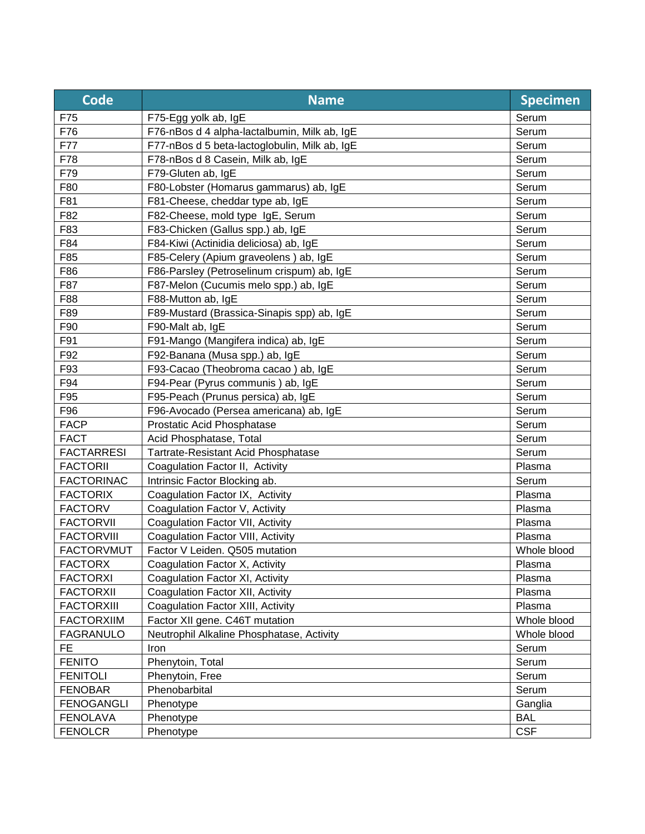| <b>Code</b>       | <b>Name</b>                                   | <b>Specimen</b> |
|-------------------|-----------------------------------------------|-----------------|
| F75               | F75-Egg yolk ab, IgE                          | Serum           |
| F76               | F76-nBos d 4 alpha-lactalbumin, Milk ab, IgE  | Serum           |
| F77               | F77-nBos d 5 beta-lactoglobulin, Milk ab, IgE | Serum           |
| F78               | F78-nBos d 8 Casein, Milk ab, IgE             | Serum           |
| F79               | F79-Gluten ab, IgE                            | Serum           |
| F80               | F80-Lobster (Homarus gammarus) ab, IgE        | Serum           |
| F81               | F81-Cheese, cheddar type ab, IgE              | Serum           |
| F82               | F82-Cheese, mold type IgE, Serum              | Serum           |
| F83               | F83-Chicken (Gallus spp.) ab, IgE             | Serum           |
| F84               | F84-Kiwi (Actinidia deliciosa) ab, IgE        | Serum           |
| F85               | F85-Celery (Apium graveolens) ab, IgE         | Serum           |
| F86               | F86-Parsley (Petroselinum crispum) ab, IgE    | Serum           |
| F87               | F87-Melon (Cucumis melo spp.) ab, IgE         | Serum           |
| F88               | F88-Mutton ab, IgE                            | Serum           |
| F89               | F89-Mustard (Brassica-Sinapis spp) ab, IgE    | Serum           |
| F90               | F90-Malt ab, IgE                              | Serum           |
| F91               | F91-Mango (Mangifera indica) ab, IgE          | Serum           |
| F92               | F92-Banana (Musa spp.) ab, IgE                | Serum           |
| F93               | F93-Cacao (Theobroma cacao) ab, IgE           | Serum           |
| F94               | F94-Pear (Pyrus communis) ab, IgE             | Serum           |
| F95               | F95-Peach (Prunus persica) ab, IgE            | Serum           |
| F96               | F96-Avocado (Persea americana) ab, IgE        | Serum           |
| <b>FACP</b>       | Prostatic Acid Phosphatase                    | Serum           |
| <b>FACT</b>       | Acid Phosphatase, Total                       | Serum           |
| <b>FACTARRESI</b> | Tartrate-Resistant Acid Phosphatase           | Serum           |
| <b>FACTORII</b>   | Coagulation Factor II, Activity               | Plasma          |
| <b>FACTORINAC</b> | Intrinsic Factor Blocking ab.                 | Serum           |
| <b>FACTORIX</b>   | Coagulation Factor IX, Activity               | Plasma          |
| <b>FACTORV</b>    | Coagulation Factor V, Activity                | Plasma          |
| <b>FACTORVII</b>  | Coagulation Factor VII, Activity              | Plasma          |
| <b>FACTORVIII</b> | Coagulation Factor VIII, Activity             | Plasma          |
| <b>FACTORVMUT</b> | Factor V Leiden. Q505 mutation                | Whole blood     |
| <b>FACTORX</b>    | Coagulation Factor X, Activity                | Plasma          |
| <b>FACTORXI</b>   | Coagulation Factor XI, Activity               | Plasma          |
| <b>FACTORXII</b>  | Coagulation Factor XII, Activity              | Plasma          |
| <b>FACTORXIII</b> | Coagulation Factor XIII, Activity             | Plasma          |
| <b>FACTORXIIM</b> | Factor XII gene. C46T mutation                | Whole blood     |
| <b>FAGRANULO</b>  | Neutrophil Alkaline Phosphatase, Activity     | Whole blood     |
| FE.               | Iron                                          | Serum           |
| <b>FENITO</b>     | Phenytoin, Total                              | Serum           |
| <b>FENITOLI</b>   | Phenytoin, Free                               | Serum           |
| <b>FENOBAR</b>    | Phenobarbital                                 | Serum           |
| <b>FENOGANGLI</b> | Phenotype                                     | Ganglia         |
| <b>FENOLAVA</b>   | Phenotype                                     | <b>BAL</b>      |
| <b>FENOLCR</b>    | Phenotype                                     | <b>CSF</b>      |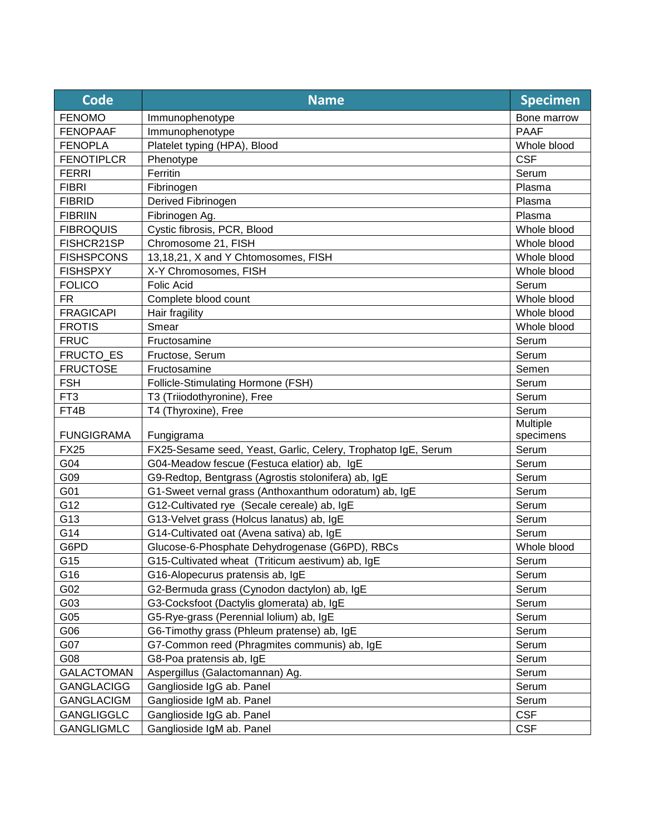| <b>Code</b>       | <b>Name</b>                                                   | <b>Specimen</b>       |
|-------------------|---------------------------------------------------------------|-----------------------|
| <b>FENOMO</b>     | Immunophenotype                                               | Bone marrow           |
| <b>FENOPAAF</b>   | Immunophenotype                                               | <b>PAAF</b>           |
| <b>FENOPLA</b>    | Platelet typing (HPA), Blood                                  | Whole blood           |
| <b>FENOTIPLCR</b> | Phenotype                                                     | <b>CSF</b>            |
| <b>FERRI</b>      | Ferritin                                                      | Serum                 |
| <b>FIBRI</b>      | Fibrinogen                                                    | Plasma                |
| <b>FIBRID</b>     | Derived Fibrinogen                                            | Plasma                |
| <b>FIBRIIN</b>    | Fibrinogen Ag.                                                | Plasma                |
| <b>FIBROQUIS</b>  | Cystic fibrosis, PCR, Blood                                   | Whole blood           |
| FISHCR21SP        | Chromosome 21, FISH                                           | Whole blood           |
| <b>FISHSPCONS</b> | 13,18,21, X and Y Chtomosomes, FISH                           | Whole blood           |
| <b>FISHSPXY</b>   | X-Y Chromosomes, FISH                                         | Whole blood           |
| <b>FOLICO</b>     | <b>Folic Acid</b>                                             | Serum                 |
| <b>FR</b>         | Complete blood count                                          | Whole blood           |
| <b>FRAGICAPI</b>  | Hair fragility                                                | Whole blood           |
| <b>FROTIS</b>     | Smear                                                         | Whole blood           |
| <b>FRUC</b>       | Fructosamine                                                  | Serum                 |
| FRUCTO_ES         | Fructose, Serum                                               | Serum                 |
| <b>FRUCTOSE</b>   | Fructosamine                                                  | Semen                 |
| <b>FSH</b>        | Follicle-Stimulating Hormone (FSH)                            | Serum                 |
| FT <sub>3</sub>   | T3 (Triiodothyronine), Free                                   | Serum                 |
| FT4B              | T4 (Thyroxine), Free                                          | Serum                 |
| <b>FUNGIGRAMA</b> | Fungigrama                                                    | Multiple<br>specimens |
| <b>FX25</b>       | FX25-Sesame seed, Yeast, Garlic, Celery, Trophatop IgE, Serum | Serum                 |
| G04               | G04-Meadow fescue (Festuca elatior) ab, IgE                   | Serum                 |
| G09               | G9-Redtop, Bentgrass (Agrostis stolonifera) ab, IgE           | Serum                 |
| G01               | G1-Sweet vernal grass (Anthoxanthum odoratum) ab, IgE         | Serum                 |
| G12               | G12-Cultivated rye (Secale cereale) ab, IgE                   | Serum                 |
| G13               | G13-Velvet grass (Holcus lanatus) ab, IgE                     | Serum                 |
| G14               | G14-Cultivated oat (Avena sativa) ab, IgE                     | Serum                 |
| G6PD              | Glucose-6-Phosphate Dehydrogenase (G6PD), RBCs                | Whole blood           |
| G15               | G15-Cultivated wheat (Triticum aestivum) ab, IgE              | Serum                 |
| G16               | G16-Alopecurus pratensis ab, IgE                              | Serum                 |
| G02               | G2-Bermuda grass (Cynodon dactylon) ab, IgE                   | Serum                 |
| G03               | G3-Cocksfoot (Dactylis glomerata) ab, IgE                     | Serum                 |
| G05               | G5-Rye-grass (Perennial lolium) ab, IgE                       | Serum                 |
| G06               | G6-Timothy grass (Phleum pratense) ab, IgE                    | Serum                 |
| G07               | G7-Common reed (Phragmites communis) ab, IgE                  | Serum                 |
| G08               | G8-Poa pratensis ab, IgE                                      | Serum                 |
| <b>GALACTOMAN</b> | Aspergillus (Galactomannan) Ag.                               | Serum                 |
| <b>GANGLACIGG</b> | Ganglioside IgG ab. Panel                                     | Serum                 |
| <b>GANGLACIGM</b> | Ganglioside IgM ab. Panel                                     | Serum                 |
| <b>GANGLIGGLC</b> | Ganglioside IgG ab. Panel                                     | <b>CSF</b>            |
| <b>GANGLIGMLC</b> | Ganglioside IgM ab. Panel                                     | <b>CSF</b>            |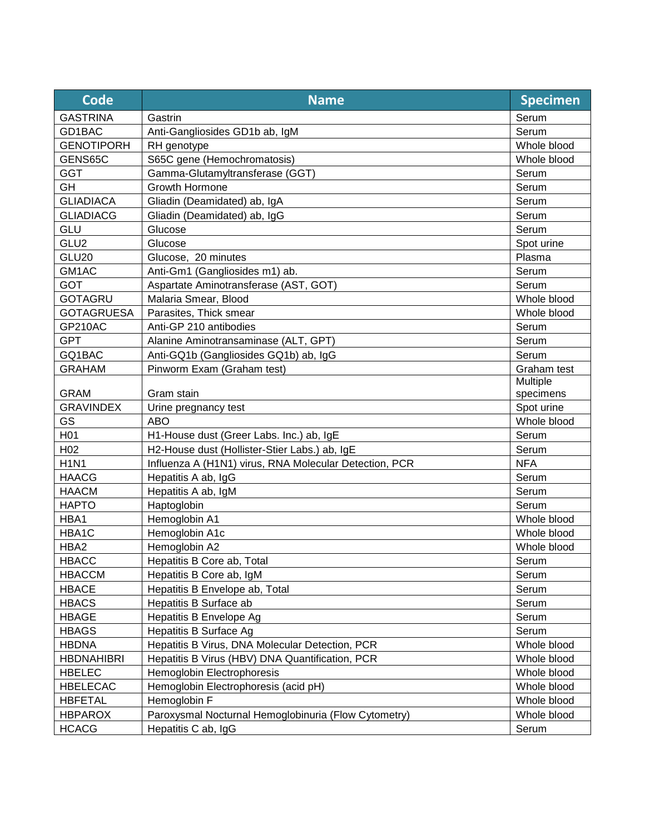| Code              | <b>Name</b>                                            | <b>Specimen</b> |
|-------------------|--------------------------------------------------------|-----------------|
| <b>GASTRINA</b>   | Gastrin                                                | Serum           |
| GD1BAC            | Anti-Gangliosides GD1b ab, IgM                         | Serum           |
| <b>GENOTIPORH</b> | RH genotype                                            | Whole blood     |
| GENS65C           | S65C gene (Hemochromatosis)                            | Whole blood     |
| <b>GGT</b>        | Gamma-Glutamyltransferase (GGT)                        | Serum           |
| <b>GH</b>         | Growth Hormone                                         | Serum           |
| <b>GLIADIACA</b>  | Gliadin (Deamidated) ab, IgA                           | Serum           |
| <b>GLIADIACG</b>  | Gliadin (Deamidated) ab, IgG                           | Serum           |
| GLU               | Glucose                                                | Serum           |
| GLU2              | Glucose                                                | Spot urine      |
| GLU20             | Glucose, 20 minutes                                    | Plasma          |
| GM1AC             | Anti-Gm1 (Gangliosides m1) ab.                         | Serum           |
| <b>GOT</b>        | Aspartate Aminotransferase (AST, GOT)                  | Serum           |
| <b>GOTAGRU</b>    | Malaria Smear, Blood                                   | Whole blood     |
| <b>GOTAGRUESA</b> | Parasites, Thick smear                                 | Whole blood     |
| <b>GP210AC</b>    | Anti-GP 210 antibodies                                 | Serum           |
| <b>GPT</b>        | Alanine Aminotransaminase (ALT, GPT)                   | Serum           |
| GQ1BAC            | Anti-GQ1b (Gangliosides GQ1b) ab, IgG                  | Serum           |
| <b>GRAHAM</b>     | Pinworm Exam (Graham test)                             | Graham test     |
|                   |                                                        | Multiple        |
| <b>GRAM</b>       | Gram stain                                             | specimens       |
| <b>GRAVINDEX</b>  | Urine pregnancy test                                   | Spot urine      |
| GS                | <b>ABO</b>                                             | Whole blood     |
| H <sub>01</sub>   | H1-House dust (Greer Labs. Inc.) ab, IgE               | Serum           |
| H <sub>02</sub>   | H2-House dust (Hollister-Stier Labs.) ab, IgE          | Serum           |
| <b>H1N1</b>       | Influenza A (H1N1) virus, RNA Molecular Detection, PCR | <b>NFA</b>      |
| <b>HAACG</b>      | Hepatitis A ab, IgG                                    | Serum           |
| <b>HAACM</b>      | Hepatitis A ab, IgM                                    | Serum           |
| <b>HAPTO</b>      | Haptoglobin                                            | Serum           |
| HBA1              | Hemoglobin A1                                          | Whole blood     |
| HBA1C             | Hemoglobin A1c                                         | Whole blood     |
| HBA2              | Hemoglobin A2                                          | Whole blood     |
| <b>HBACC</b>      | Hepatitis B Core ab, Total                             | Serum           |
| <b>HBACCM</b>     | Hepatitis B Core ab, IgM                               | Serum           |
| <b>HBACE</b>      | Hepatitis B Envelope ab, Total                         | Serum           |
| <b>HBACS</b>      | Hepatitis B Surface ab                                 | Serum           |
| <b>HBAGE</b>      | Hepatitis B Envelope Ag                                | Serum           |
| <b>HBAGS</b>      | Hepatitis B Surface Ag                                 | Serum           |
| <b>HBDNA</b>      | Hepatitis B Virus, DNA Molecular Detection, PCR        | Whole blood     |
| <b>HBDNAHIBRI</b> | Hepatitis B Virus (HBV) DNA Quantification, PCR        | Whole blood     |
| <b>HBELEC</b>     | Hemoglobin Electrophoresis                             | Whole blood     |
| <b>HBELECAC</b>   | Hemoglobin Electrophoresis (acid pH)                   | Whole blood     |
| <b>HBFETAL</b>    | Hemoglobin F                                           | Whole blood     |
| <b>HBPAROX</b>    | Paroxysmal Nocturnal Hemoglobinuria (Flow Cytometry)   | Whole blood     |
| <b>HCACG</b>      | Hepatitis C ab, IgG                                    | Serum           |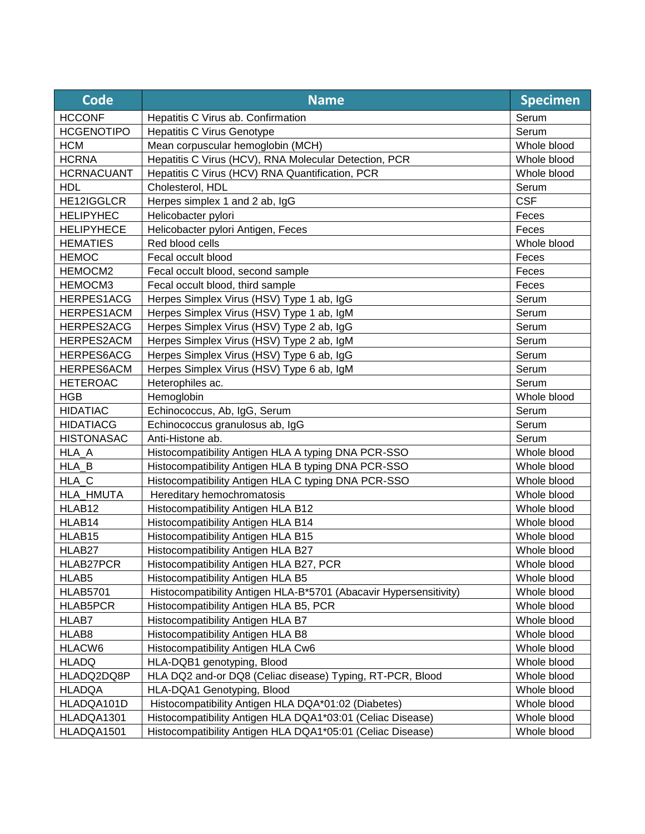| <b>Code</b>       | <b>Name</b>                                                       | <b>Specimen</b> |
|-------------------|-------------------------------------------------------------------|-----------------|
| <b>HCCONF</b>     | Hepatitis C Virus ab. Confirmation                                | Serum           |
| <b>HCGENOTIPO</b> | <b>Hepatitis C Virus Genotype</b>                                 | Serum           |
| <b>HCM</b>        | Mean corpuscular hemoglobin (MCH)                                 | Whole blood     |
| <b>HCRNA</b>      | Hepatitis C Virus (HCV), RNA Molecular Detection, PCR             | Whole blood     |
| <b>HCRNACUANT</b> | Hepatitis C Virus (HCV) RNA Quantification, PCR                   | Whole blood     |
| <b>HDL</b>        | Cholesterol, HDL                                                  | Serum           |
| HE12IGGLCR        | Herpes simplex 1 and 2 ab, IgG                                    | <b>CSF</b>      |
| <b>HELIPYHEC</b>  | Helicobacter pylori                                               | Feces           |
| <b>HELIPYHECE</b> | Helicobacter pylori Antigen, Feces                                | Feces           |
| <b>HEMATIES</b>   | Red blood cells                                                   | Whole blood     |
| <b>HEMOC</b>      | Fecal occult blood                                                | Feces           |
| HEMOCM2           | Fecal occult blood, second sample                                 | Feces           |
| HEMOCM3           | Fecal occult blood, third sample                                  | Feces           |
| HERPES1ACG        | Herpes Simplex Virus (HSV) Type 1 ab, IgG                         | Serum           |
| HERPES1ACM        | Herpes Simplex Virus (HSV) Type 1 ab, IgM                         | Serum           |
| HERPES2ACG        | Herpes Simplex Virus (HSV) Type 2 ab, IgG                         | Serum           |
| HERPES2ACM        | Herpes Simplex Virus (HSV) Type 2 ab, IgM                         | Serum           |
| HERPES6ACG        | Herpes Simplex Virus (HSV) Type 6 ab, IgG                         | Serum           |
| HERPES6ACM        | Herpes Simplex Virus (HSV) Type 6 ab, IgM                         | Serum           |
| <b>HETEROAC</b>   | Heterophiles ac.                                                  | Serum           |
| <b>HGB</b>        | Hemoglobin                                                        | Whole blood     |
| <b>HIDATIAC</b>   | Echinococcus, Ab, IgG, Serum                                      | Serum           |
| <b>HIDATIACG</b>  | Echinococcus granulosus ab, IgG                                   | Serum           |
| <b>HISTONASAC</b> | Anti-Histone ab.                                                  | Serum           |
| HLA A             | Histocompatibility Antigen HLA A typing DNA PCR-SSO               | Whole blood     |
| HLA_B             | Histocompatibility Antigen HLA B typing DNA PCR-SSO               | Whole blood     |
| HLA_C             | Histocompatibility Antigen HLA C typing DNA PCR-SSO               | Whole blood     |
| HLA_HMUTA         | Hereditary hemochromatosis                                        | Whole blood     |
| HLAB12            | Histocompatibility Antigen HLA B12                                | Whole blood     |
| HLAB14            | Histocompatibility Antigen HLA B14                                | Whole blood     |
| HLAB15            | Histocompatibility Antigen HLA B15                                | Whole blood     |
| HLAB27            | Histocompatibility Antigen HLA B27                                | Whole blood     |
| HLAB27PCR         | Histocompatibility Antigen HLA B27, PCR                           | Whole blood     |
| HLAB5             | Histocompatibility Antigen HLA B5                                 | Whole blood     |
| <b>HLAB5701</b>   | Histocompatibility Antigen HLA-B*5701 (Abacavir Hypersensitivity) | Whole blood     |
| HLAB5PCR          | Histocompatibility Antigen HLA B5, PCR                            | Whole blood     |
| HLAB7             | Histocompatibility Antigen HLA B7                                 | Whole blood     |
| HLAB8             | Histocompatibility Antigen HLA B8                                 | Whole blood     |
| HLACW6            | Histocompatibility Antigen HLA Cw6                                | Whole blood     |
| <b>HLADQ</b>      | HLA-DQB1 genotyping, Blood                                        | Whole blood     |
| HLADQ2DQ8P        | HLA DQ2 and-or DQ8 (Celiac disease) Typing, RT-PCR, Blood         | Whole blood     |
| <b>HLADQA</b>     | HLA-DQA1 Genotyping, Blood                                        | Whole blood     |
| HLADQA101D        | Histocompatibility Antigen HLA DQA*01:02 (Diabetes)               | Whole blood     |
| HLADQA1301        | Histocompatibility Antigen HLA DQA1*03:01 (Celiac Disease)        | Whole blood     |
| HLADQA1501        | Histocompatibility Antigen HLA DQA1*05:01 (Celiac Disease)        | Whole blood     |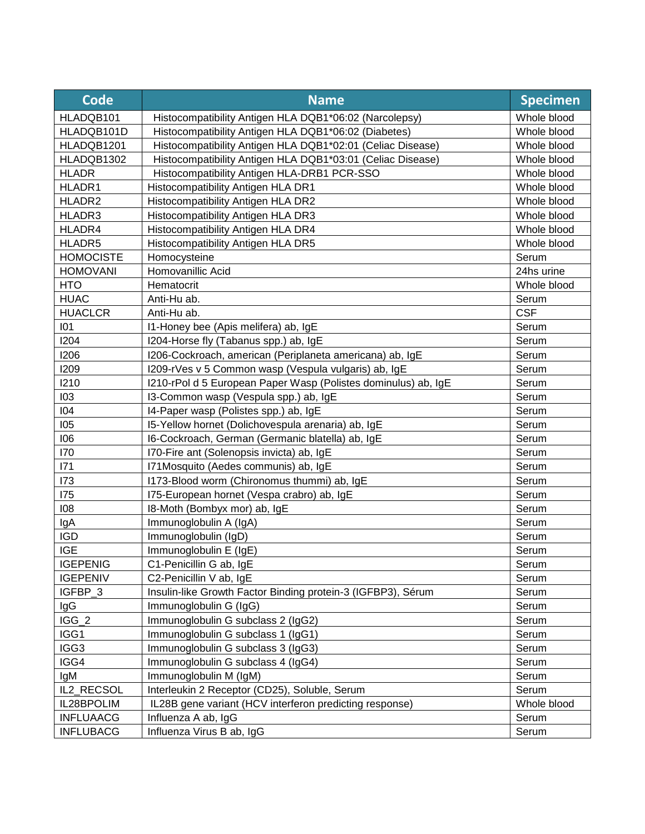| <b>Code</b>      | <b>Name</b>                                                    | <b>Specimen</b> |
|------------------|----------------------------------------------------------------|-----------------|
| HLADQB101        | Histocompatibility Antigen HLA DQB1*06:02 (Narcolepsy)         | Whole blood     |
| HLADQB101D       | Histocompatibility Antigen HLA DQB1*06:02 (Diabetes)           | Whole blood     |
| HLADQB1201       | Histocompatibility Antigen HLA DQB1*02:01 (Celiac Disease)     | Whole blood     |
| HLADQB1302       | Histocompatibility Antigen HLA DQB1*03:01 (Celiac Disease)     | Whole blood     |
| <b>HLADR</b>     | Histocompatibility Antigen HLA-DRB1 PCR-SSO                    | Whole blood     |
| HLADR1           | Histocompatibility Antigen HLA DR1                             | Whole blood     |
| HLADR2           | Histocompatibility Antigen HLA DR2                             | Whole blood     |
| HLADR3           | Histocompatibility Antigen HLA DR3                             | Whole blood     |
| HLADR4           | Histocompatibility Antigen HLA DR4                             | Whole blood     |
| HLADR5           | Histocompatibility Antigen HLA DR5                             | Whole blood     |
| <b>HOMOCISTE</b> | Homocysteine                                                   | Serum           |
| <b>HOMOVANI</b>  | Homovanillic Acid                                              | 24hs urine      |
| <b>HTO</b>       | Hematocrit                                                     | Whole blood     |
| <b>HUAC</b>      | Anti-Hu ab.                                                    | Serum           |
| <b>HUACLCR</b>   | Anti-Hu ab.                                                    | <b>CSF</b>      |
| 101              | I1-Honey bee (Apis melifera) ab, IgE                           | Serum           |
| 1204             | I204-Horse fly (Tabanus spp.) ab, IgE                          | Serum           |
| 1206             | I206-Cockroach, american (Periplaneta americana) ab, IgE       | Serum           |
| 1209             | I209-rVes v 5 Common wasp (Vespula vulgaris) ab, IgE           | Serum           |
| 1210             | I210-rPol d 5 European Paper Wasp (Polistes dominulus) ab, IgE | Serum           |
| 103              | I3-Common wasp (Vespula spp.) ab, IgE                          | Serum           |
| 104              | I4-Paper wasp (Polistes spp.) ab, IgE                          | Serum           |
| 105              | 15-Yellow hornet (Dolichovespula arenaria) ab, IgE             | Serum           |
| 106              | I6-Cockroach, German (Germanic blatella) ab, IgE               | Serum           |
| <b>170</b>       | 170-Fire ant (Solenopsis invicta) ab, IgE                      | Serum           |
| 171              | I71Mosquito (Aedes communis) ab, IgE                           | Serum           |
| 173              | 1173-Blood worm (Chironomus thummi) ab, IgE                    | Serum           |
| <b>175</b>       | 175-European hornet (Vespa crabro) ab, IgE                     | Serum           |
| 108              | I8-Moth (Bombyx mor) ab, IgE                                   | Serum           |
| IgA              | Immunoglobulin A (IgA)                                         | Serum           |
| <b>IGD</b>       | Immunoglobulin (IgD)                                           | Serum           |
| <b>IGE</b>       | Immunoglobulin E (IgE)                                         | Serum           |
| <b>IGEPENIG</b>  | C1-Penicillin G ab, IgE                                        | Serum           |
| <b>IGEPENIV</b>  | C2-Penicillin V ab, IgE                                        | Serum           |
| IGFBP_3          | Insulin-like Growth Factor Binding protein-3 (IGFBP3), Sérum   | Serum           |
| IgG              | Immunoglobulin G (IgG)                                         | Serum           |
| $IGG_2$          | Immunoglobulin G subclass 2 (IgG2)                             | Serum           |
| IGG1             | Immunoglobulin G subclass 1 (IgG1)                             | Serum           |
| IGG3             | Immunoglobulin G subclass 3 (IgG3)                             | Serum           |
| IGG4             | Immunoglobulin G subclass 4 (IgG4)                             | Serum           |
| lgM              | Immunoglobulin M (IgM)                                         | Serum           |
| IL2_RECSOL       | Interleukin 2 Receptor (CD25), Soluble, Serum                  | Serum           |
| IL28BPOLIM       | IL28B gene variant (HCV interferon predicting response)        | Whole blood     |
| <b>INFLUAACG</b> | Influenza A ab, IgG                                            | Serum           |
| <b>INFLUBACG</b> | Influenza Virus B ab, IgG                                      | Serum           |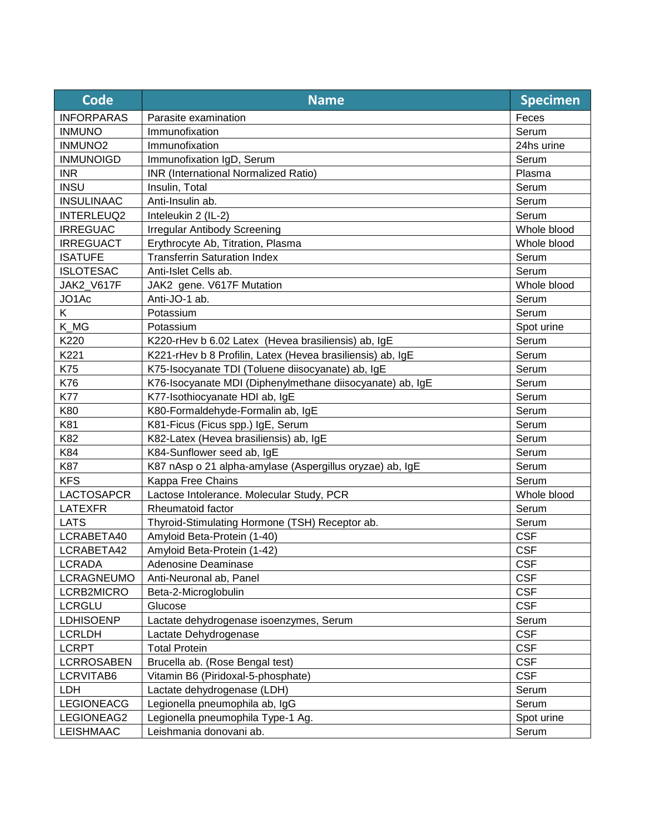| <b>Code</b>         | <b>Name</b>                                                | <b>Specimen</b> |
|---------------------|------------------------------------------------------------|-----------------|
| <b>INFORPARAS</b>   | Parasite examination                                       | Feces           |
| <b>INMUNO</b>       | Immunofixation                                             | Serum           |
| INMUNO <sub>2</sub> | Immunofixation                                             | 24hs urine      |
| <b>INMUNOIGD</b>    | Immunofixation IgD, Serum                                  | Serum           |
| <b>INR</b>          | INR (International Normalized Ratio)                       | Plasma          |
| <b>INSU</b>         | Insulin, Total                                             | Serum           |
| <b>INSULINAAC</b>   | Anti-Insulin ab.                                           | Serum           |
| <b>INTERLEUQ2</b>   | Inteleukin 2 (IL-2)                                        | Serum           |
| <b>IRREGUAC</b>     | <b>Irregular Antibody Screening</b>                        | Whole blood     |
| <b>IRREGUACT</b>    | Erythrocyte Ab, Titration, Plasma                          | Whole blood     |
| <b>ISATUFE</b>      | <b>Transferrin Saturation Index</b>                        | Serum           |
| <b>ISLOTESAC</b>    | Anti-Islet Cells ab.                                       | Serum           |
| JAK2 V617F          | JAK2 gene. V617F Mutation                                  | Whole blood     |
| JO1Ac               | Anti-JO-1 ab.                                              | Serum           |
| K.                  | Potassium                                                  | Serum           |
| K_MG                | Potassium                                                  | Spot urine      |
| K220                | K220-rHev b 6.02 Latex (Hevea brasiliensis) ab, IgE        | Serum           |
| K221                | K221-rHev b 8 Profilin, Latex (Hevea brasiliensis) ab, IgE | Serum           |
| K75                 | K75-Isocyanate TDI (Toluene diisocyanate) ab, IgE          | Serum           |
| K76                 | K76-Isocyanate MDI (Diphenylmethane diisocyanate) ab, IgE  | Serum           |
| <b>K77</b>          | K77-Isothiocyanate HDI ab, IgE                             | Serum           |
| K80                 | K80-Formaldehyde-Formalin ab, IgE                          | Serum           |
| K81                 | K81-Ficus (Ficus spp.) IgE, Serum                          | Serum           |
| K82                 | K82-Latex (Hevea brasiliensis) ab, IgE                     | Serum           |
| K84                 | K84-Sunflower seed ab, IgE                                 | Serum           |
| <b>K87</b>          | K87 nAsp o 21 alpha-amylase (Aspergillus oryzae) ab, IgE   | Serum           |
| <b>KFS</b>          | Kappa Free Chains                                          | Serum           |
| <b>LACTOSAPCR</b>   | Lactose Intolerance. Molecular Study, PCR                  | Whole blood     |
| <b>LATEXFR</b>      | Rheumatoid factor                                          | Serum           |
| <b>LATS</b>         | Thyroid-Stimulating Hormone (TSH) Receptor ab.             | Serum           |
| LCRABETA40          | Amyloid Beta-Protein (1-40)                                | <b>CSF</b>      |
| LCRABETA42          | Amyloid Beta-Protein (1-42)                                | <b>CSF</b>      |
| <b>LCRADA</b>       | Adenosine Deaminase                                        | <b>CSF</b>      |
| <b>LCRAGNEUMO</b>   | Anti-Neuronal ab, Panel                                    | <b>CSF</b>      |
| LCRB2MICRO          | Beta-2-Microglobulin                                       | <b>CSF</b>      |
| <b>LCRGLU</b>       | Glucose                                                    | <b>CSF</b>      |
| <b>LDHISOENP</b>    | Lactate dehydrogenase isoenzymes, Serum                    | Serum           |
| <b>LCRLDH</b>       | Lactate Dehydrogenase                                      | <b>CSF</b>      |
| <b>LCRPT</b>        | <b>Total Protein</b>                                       | <b>CSF</b>      |
| <b>LCRROSABEN</b>   | Brucella ab. (Rose Bengal test)                            | <b>CSF</b>      |
| LCRVITAB6           | Vitamin B6 (Piridoxal-5-phosphate)                         | <b>CSF</b>      |
| LDH                 | Lactate dehydrogenase (LDH)                                | Serum           |
| <b>LEGIONEACG</b>   | Legionella pneumophila ab, IgG                             | Serum           |
| LEGIONEAG2          | Legionella pneumophila Type-1 Ag.                          | Spot urine      |
| <b>LEISHMAAC</b>    | Leishmania donovani ab.                                    | Serum           |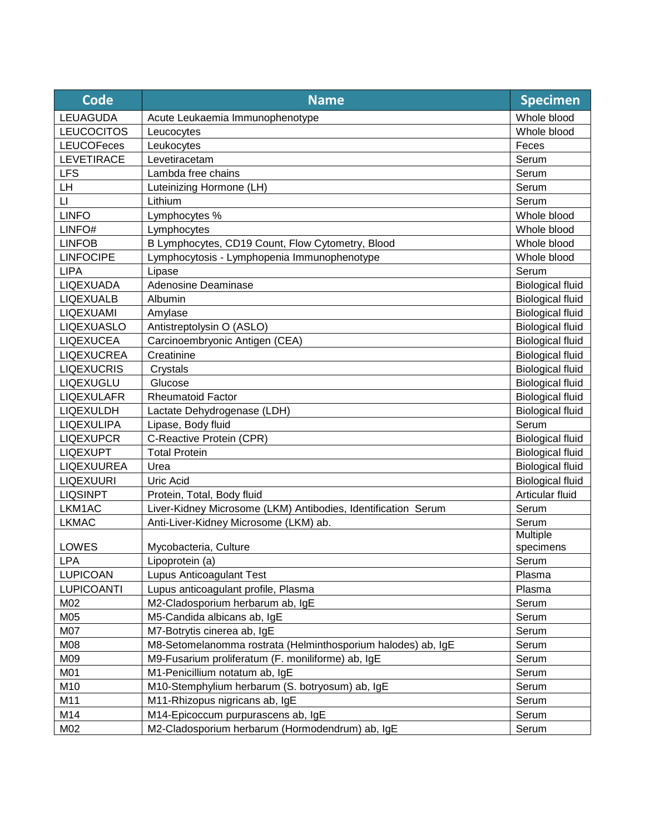| <b>Code</b>            | <b>Name</b>                                                   | <b>Specimen</b>         |
|------------------------|---------------------------------------------------------------|-------------------------|
| <b>LEUAGUDA</b>        | Acute Leukaemia Immunophenotype                               | Whole blood             |
| <b>LEUCOCITOS</b>      | Leucocytes                                                    | Whole blood             |
| <b>LEUCOFeces</b>      | Leukocytes                                                    | Feces                   |
| <b>LEVETIRACE</b>      | Levetiracetam                                                 | Serum                   |
| <b>LFS</b>             | Lambda free chains                                            | Serum                   |
| LH                     | Luteinizing Hormone (LH)                                      | Serum                   |
| $\mathsf{L}\mathsf{I}$ | Lithium                                                       | Serum                   |
| <b>LINFO</b>           | Lymphocytes %                                                 | Whole blood             |
| LINFO#                 | Lymphocytes                                                   | Whole blood             |
| <b>LINFOB</b>          | B Lymphocytes, CD19 Count, Flow Cytometry, Blood              | Whole blood             |
| <b>LINFOCIPE</b>       | Lymphocytosis - Lymphopenia Immunophenotype                   | Whole blood             |
| <b>LIPA</b>            | Lipase                                                        | Serum                   |
| LIQEXUADA              | Adenosine Deaminase                                           | <b>Biological fluid</b> |
| <b>LIQEXUALB</b>       | Albumin                                                       | <b>Biological fluid</b> |
| LIQEXUAMI              | Amylase                                                       | <b>Biological fluid</b> |
| <b>LIQEXUASLO</b>      | Antistreptolysin O (ASLO)                                     | <b>Biological fluid</b> |
| <b>LIQEXUCEA</b>       | Carcinoembryonic Antigen (CEA)                                | <b>Biological fluid</b> |
| <b>LIQEXUCREA</b>      | Creatinine                                                    | <b>Biological fluid</b> |
| <b>LIQEXUCRIS</b>      | Crystals                                                      | <b>Biological fluid</b> |
| <b>LIQEXUGLU</b>       | Glucose                                                       | <b>Biological fluid</b> |
| <b>LIQEXULAFR</b>      | <b>Rheumatoid Factor</b>                                      | <b>Biological fluid</b> |
| <b>LIQEXULDH</b>       | Lactate Dehydrogenase (LDH)                                   | <b>Biological fluid</b> |
| LIQEXULIPA             | Lipase, Body fluid                                            | Serum                   |
| <b>LIQEXUPCR</b>       | C-Reactive Protein (CPR)                                      | <b>Biological fluid</b> |
| <b>LIQEXUPT</b>        | <b>Total Protein</b>                                          | <b>Biological fluid</b> |
| LIQEXUUREA             | Urea                                                          | <b>Biological fluid</b> |
| <b>LIQEXUURI</b>       | Uric Acid                                                     | <b>Biological fluid</b> |
| <b>LIQSINPT</b>        | Protein, Total, Body fluid                                    | Articular fluid         |
| LKM1AC                 | Liver-Kidney Microsome (LKM) Antibodies, Identification Serum | Serum                   |
| <b>LKMAC</b>           | Anti-Liver-Kidney Microsome (LKM) ab.                         | Serum                   |
|                        |                                                               | Multiple                |
| LOWES                  | Mycobacteria, Culture                                         | specimens               |
| LPA                    | Lipoprotein (a)                                               | Serum                   |
| <b>LUPICOAN</b>        | Lupus Anticoagulant Test                                      | Plasma                  |
| <b>LUPICOANTI</b>      | Lupus anticoagulant profile, Plasma                           | Plasma                  |
| M02                    | M2-Cladosporium herbarum ab, IgE                              | Serum                   |
| M05                    | M5-Candida albicans ab, IgE                                   | Serum                   |
| M07                    | M7-Botrytis cinerea ab, IgE                                   | Serum                   |
| M08                    | M8-Setomelanomma rostrata (Helminthosporium halodes) ab, IgE  | Serum                   |
| M09                    | M9-Fusarium proliferatum (F. moniliforme) ab, IgE             | Serum                   |
| M01                    | M1-Penicillium notatum ab, IgE                                | Serum                   |
| M10                    | M10-Stemphylium herbarum (S. botryosum) ab, IgE               | Serum                   |
| M11                    | M11-Rhizopus nigricans ab, IgE                                | Serum                   |
| M14                    | M14-Epicoccum purpurascens ab, IgE                            | Serum                   |
| M02                    | M2-Cladosporium herbarum (Hormodendrum) ab, IgE               | Serum                   |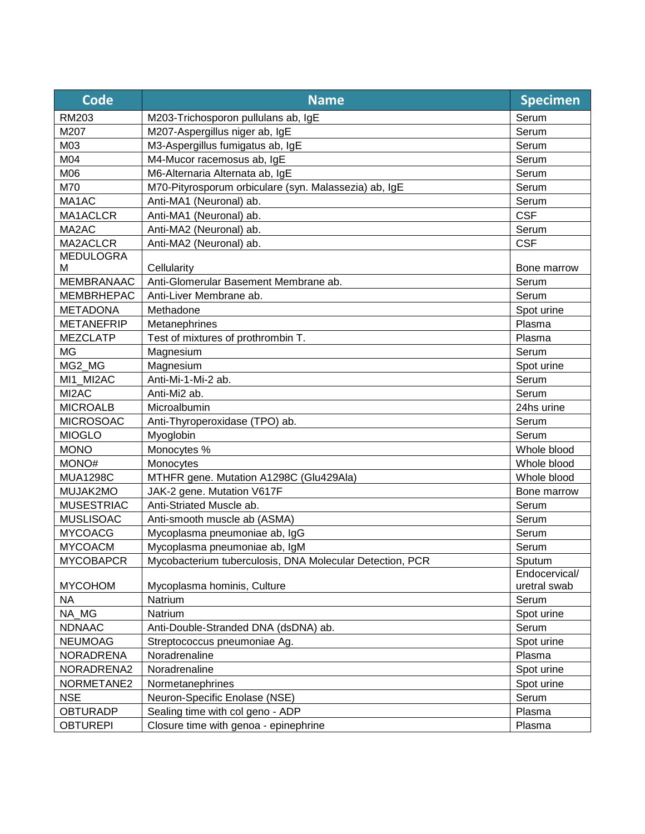| <b>Code</b>       | <b>Name</b>                                              | <b>Specimen</b> |
|-------------------|----------------------------------------------------------|-----------------|
| RM203             | M203-Trichosporon pullulans ab, IgE                      | Serum           |
| M207              | M207-Aspergillus niger ab, IgE                           | Serum           |
| M03               | M3-Aspergillus fumigatus ab, IgE                         | Serum           |
| M04               | M4-Mucor racemosus ab, IgE                               | Serum           |
| M06               | M6-Alternaria Alternata ab, IgE                          | Serum           |
| M70               | M70-Pityrosporum orbiculare (syn. Malassezia) ab, IgE    | Serum           |
| MA1AC             | Anti-MA1 (Neuronal) ab.                                  | Serum           |
| MA1ACLCR          | Anti-MA1 (Neuronal) ab.                                  | <b>CSF</b>      |
| MA2AC             | Anti-MA2 (Neuronal) ab.                                  | Serum           |
| MA2ACLCR          | Anti-MA2 (Neuronal) ab.                                  | <b>CSF</b>      |
| <b>MEDULOGRA</b>  |                                                          |                 |
| м                 | Cellularity                                              | Bone marrow     |
| <b>MEMBRANAAC</b> | Anti-Glomerular Basement Membrane ab.                    | Serum           |
| <b>MEMBRHEPAC</b> | Anti-Liver Membrane ab.                                  | Serum           |
| <b>METADONA</b>   | Methadone                                                | Spot urine      |
| <b>METANEFRIP</b> | Metanephrines                                            | Plasma          |
| <b>MEZCLATP</b>   | Test of mixtures of prothrombin T.                       | Plasma          |
| <b>MG</b>         | Magnesium                                                | Serum           |
| MG2_MG            | Magnesium                                                | Spot urine      |
| MI1 MI2AC         | Anti-Mi-1-Mi-2 ab.                                       | Serum           |
| MI2AC             | Anti-Mi2 ab.                                             | Serum           |
| <b>MICROALB</b>   | Microalbumin                                             | 24hs urine      |
| <b>MICROSOAC</b>  | Anti-Thyroperoxidase (TPO) ab.                           | Serum           |
| <b>MIOGLO</b>     | Myoglobin                                                | Serum           |
| <b>MONO</b>       | Monocytes %                                              | Whole blood     |
| MONO#             | Monocytes                                                | Whole blood     |
| <b>MUA1298C</b>   | MTHFR gene. Mutation A1298C (Glu429Ala)                  | Whole blood     |
| MUJAK2MO          | JAK-2 gene. Mutation V617F                               | Bone marrow     |
| <b>MUSESTRIAC</b> | Anti-Striated Muscle ab.                                 | Serum           |
| <b>MUSLISOAC</b>  | Anti-smooth muscle ab (ASMA)                             | Serum           |
| <b>MYCOACG</b>    | Mycoplasma pneumoniae ab, IgG                            | Serum           |
| <b>MYCOACM</b>    | Mycoplasma pneumoniae ab, IgM                            | Serum           |
| <b>MYCOBAPCR</b>  | Mycobacterium tuberculosis, DNA Molecular Detection, PCR | <b>Sputum</b>   |
|                   |                                                          | Endocervical/   |
| <b>MYCOHOM</b>    | Mycoplasma hominis, Culture                              | uretral swab    |
| <b>NA</b>         | Natrium                                                  | Serum           |
| NA_MG             | Natrium                                                  | Spot urine      |
| <b>NDNAAC</b>     | Anti-Double-Stranded DNA (dsDNA) ab.                     | Serum           |
| <b>NEUMOAG</b>    | Streptococcus pneumoniae Ag.                             | Spot urine      |
| <b>NORADRENA</b>  | Noradrenaline                                            | Plasma          |
| NORADRENA2        | Noradrenaline                                            | Spot urine      |
| NORMETANE2        | Normetanephrines                                         | Spot urine      |
| <b>NSE</b>        | Neuron-Specific Enolase (NSE)                            | Serum           |
| <b>OBTURADP</b>   | Sealing time with col geno - ADP                         | Plasma          |
| <b>OBTUREPI</b>   | Closure time with genoa - epinephrine                    | Plasma          |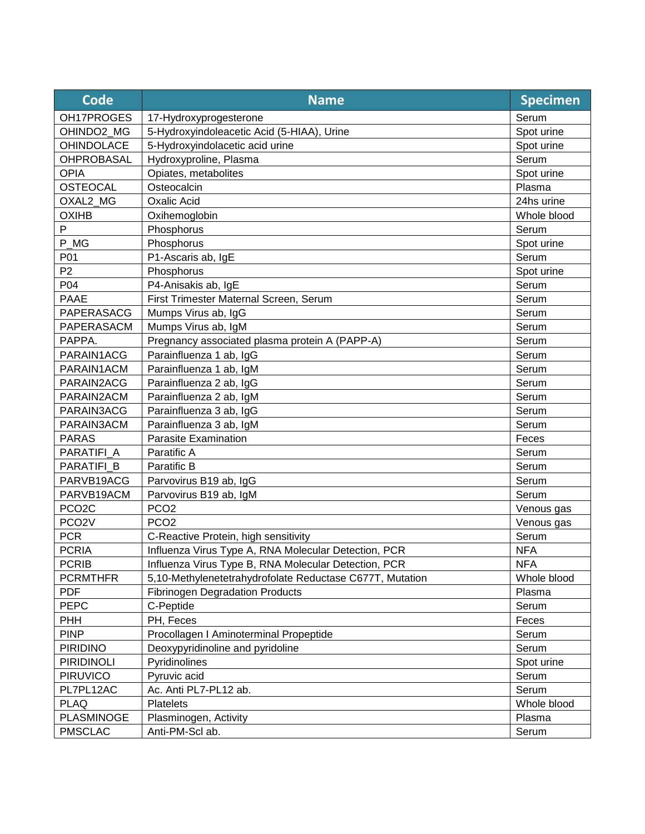| <b>Code</b>        | <b>Name</b>                                              | <b>Specimen</b> |
|--------------------|----------------------------------------------------------|-----------------|
| OH17PROGES         | 17-Hydroxyprogesterone                                   | Serum           |
| OHINDO2 MG         | 5-Hydroxyindoleacetic Acid (5-HIAA), Urine               | Spot urine      |
| <b>OHINDOLACE</b>  | 5-Hydroxyindolacetic acid urine                          | Spot urine      |
| <b>OHPROBASAL</b>  | Hydroxyproline, Plasma                                   | Serum           |
| <b>OPIA</b>        | Opiates, metabolites                                     | Spot urine      |
| <b>OSTEOCAL</b>    | Osteocalcin                                              | Plasma          |
| OXAL2_MG           | <b>Oxalic Acid</b>                                       | 24hs urine      |
| <b>OXIHB</b>       | Oxihemoglobin                                            | Whole blood     |
| P                  | Phosphorus                                               | Serum           |
| P_MG               | Phosphorus                                               | Spot urine      |
| P01                | P1-Ascaris ab, IgE                                       | Serum           |
| P <sub>2</sub>     | Phosphorus                                               | Spot urine      |
| P04                | P4-Anisakis ab, IgE                                      | Serum           |
| <b>PAAE</b>        | First Trimester Maternal Screen, Serum                   | Serum           |
| PAPERASACG         | Mumps Virus ab, IgG                                      | Serum           |
| PAPERASACM         | Mumps Virus ab, IgM                                      | Serum           |
| PAPPA.             | Pregnancy associated plasma protein A (PAPP-A)           | Serum           |
| PARAIN1ACG         | Parainfluenza 1 ab, IgG                                  | Serum           |
| PARAIN1ACM         | Parainfluenza 1 ab, IgM                                  | Serum           |
| PARAIN2ACG         | Parainfluenza 2 ab, IgG                                  | Serum           |
| PARAIN2ACM         | Parainfluenza 2 ab, IgM                                  | Serum           |
| PARAIN3ACG         | Parainfluenza 3 ab, IgG                                  | Serum           |
| PARAIN3ACM         | Parainfluenza 3 ab, IgM                                  | Serum           |
| <b>PARAS</b>       | <b>Parasite Examination</b>                              | Feces           |
| PARATIFI A         | Paratific A                                              | Serum           |
| PARATIFI_B         | Paratific B                                              | Serum           |
| PARVB19ACG         | Parvovirus B19 ab, IgG                                   | Serum           |
| PARVB19ACM         | Parvovirus B19 ab, IgM                                   | Serum           |
| PCO <sub>2</sub> C | PCO <sub>2</sub>                                         | Venous gas      |
| PCO <sub>2</sub> V | PCO <sub>2</sub>                                         | Venous gas      |
| <b>PCR</b>         | C-Reactive Protein, high sensitivity                     | Serum           |
| <b>PCRIA</b>       | Influenza Virus Type A, RNA Molecular Detection, PCR     | <b>NFA</b>      |
| <b>PCRIB</b>       | Influenza Virus Type B, RNA Molecular Detection, PCR     | <b>NFA</b>      |
| <b>PCRMTHFR</b>    | 5,10-Methylenetetrahydrofolate Reductase C677T, Mutation | Whole blood     |
| <b>PDF</b>         | <b>Fibrinogen Degradation Products</b>                   | Plasma          |
| <b>PEPC</b>        | C-Peptide                                                | Serum           |
| <b>PHH</b>         | PH, Feces                                                | Feces           |
| <b>PINP</b>        | Procollagen I Aminoterminal Propeptide                   | Serum           |
| <b>PIRIDINO</b>    | Deoxypyridinoline and pyridoline                         | Serum           |
| <b>PIRIDINOLI</b>  | Pyridinolines                                            | Spot urine      |
| <b>PIRUVICO</b>    | Pyruvic acid                                             | Serum           |
| PL7PL12AC          | Ac. Anti PL7-PL12 ab.                                    | Serum           |
| <b>PLAQ</b>        | <b>Platelets</b>                                         | Whole blood     |
| <b>PLASMINOGE</b>  | Plasminogen, Activity                                    | Plasma          |
| <b>PMSCLAC</b>     | Anti-PM-Scl ab.                                          | Serum           |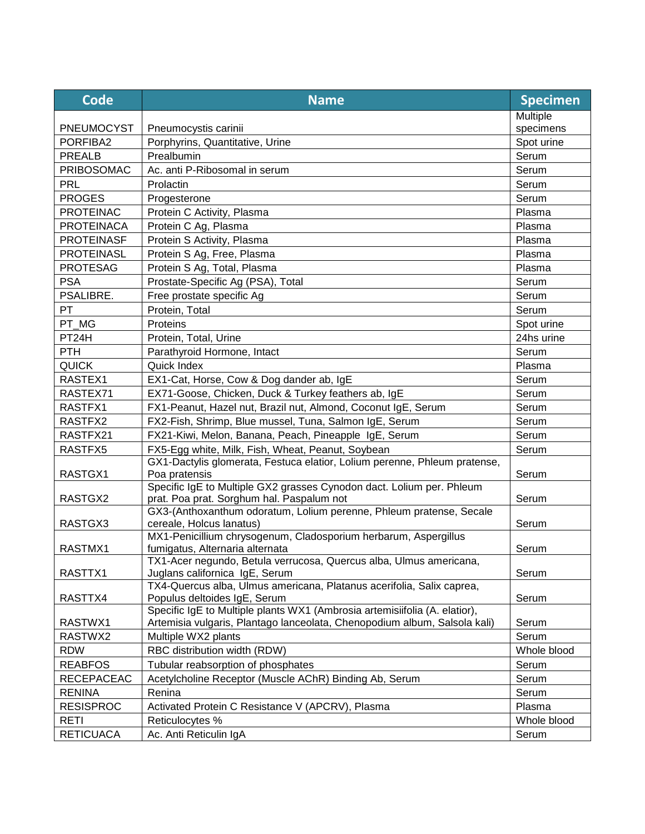| <b>Code</b>       | <b>Name</b>                                                                                                                                             | <b>Specimen</b> |
|-------------------|---------------------------------------------------------------------------------------------------------------------------------------------------------|-----------------|
|                   |                                                                                                                                                         | Multiple        |
| PNEUMOCYST        | Pneumocystis carinii                                                                                                                                    | specimens       |
| PORFIBA2          | Porphyrins, Quantitative, Urine                                                                                                                         | Spot urine      |
| <b>PREALB</b>     | Prealbumin                                                                                                                                              | Serum           |
| PRIBOSOMAC        | Ac. anti P-Ribosomal in serum                                                                                                                           | Serum           |
| <b>PRL</b>        | Prolactin                                                                                                                                               | Serum           |
| <b>PROGES</b>     | Progesterone                                                                                                                                            | Serum           |
| <b>PROTEINAC</b>  | Protein C Activity, Plasma                                                                                                                              | Plasma          |
| <b>PROTEINACA</b> | Protein C Ag, Plasma                                                                                                                                    | Plasma          |
| <b>PROTEINASF</b> | Protein S Activity, Plasma                                                                                                                              | Plasma          |
| <b>PROTEINASL</b> | Protein S Ag, Free, Plasma                                                                                                                              | Plasma          |
| <b>PROTESAG</b>   | Protein S Ag, Total, Plasma                                                                                                                             | Plasma          |
| <b>PSA</b>        | Prostate-Specific Ag (PSA), Total                                                                                                                       | Serum           |
| PSALIBRE.         | Free prostate specific Ag                                                                                                                               | Serum           |
| PT                | Protein, Total                                                                                                                                          | Serum           |
| PT_MG             | Proteins                                                                                                                                                | Spot urine      |
| PT24H             | Protein, Total, Urine                                                                                                                                   | 24hs urine      |
| <b>PTH</b>        | Parathyroid Hormone, Intact                                                                                                                             | Serum           |
| <b>QUICK</b>      | Quick Index                                                                                                                                             | Plasma          |
| RASTEX1           | EX1-Cat, Horse, Cow & Dog dander ab, IgE                                                                                                                | Serum           |
| RASTEX71          | EX71-Goose, Chicken, Duck & Turkey feathers ab, IgE                                                                                                     | Serum           |
| RASTFX1           | FX1-Peanut, Hazel nut, Brazil nut, Almond, Coconut IgE, Serum                                                                                           | Serum           |
| RASTFX2           | FX2-Fish, Shrimp, Blue mussel, Tuna, Salmon IgE, Serum                                                                                                  | Serum           |
| RASTFX21          | FX21-Kiwi, Melon, Banana, Peach, Pineapple IgE, Serum                                                                                                   | Serum           |
| RASTFX5           | FX5-Egg white, Milk, Fish, Wheat, Peanut, Soybean                                                                                                       | Serum           |
| RASTGX1           | GX1-Dactylis glomerata, Festuca elatior, Lolium perenne, Phleum pratense,<br>Poa pratensis                                                              | Serum           |
|                   | Specific IgE to Multiple GX2 grasses Cynodon dact. Lolium per. Phleum                                                                                   |                 |
| RASTGX2           | prat. Poa prat. Sorghum hal. Paspalum not                                                                                                               | Serum           |
|                   | GX3-(Anthoxanthum odoratum, Lolium perenne, Phleum pratense, Secale                                                                                     |                 |
| RASTGX3           | cereale, Holcus lanatus)                                                                                                                                | Serum           |
| RASTMX1           | MX1-Penicillium chrysogenum, Cladosporium herbarum, Aspergillus<br>fumigatus, Alternaria alternata                                                      | Serum           |
| RASTTX1           | TX1-Acer negundo, Betula verrucosa, Quercus alba, Ulmus americana,<br>Juglans californica IgE, Serum                                                    | Serum           |
|                   | TX4-Quercus alba, Ulmus americana, Platanus acerifolia, Salix caprea,                                                                                   |                 |
| RASTTX4           | Populus deltoides IgE, Serum                                                                                                                            | Serum           |
| RASTWX1           | Specific IgE to Multiple plants WX1 (Ambrosia artemisiifolia (A. elatior),<br>Artemisia vulgaris, Plantago lanceolata, Chenopodium album, Salsola kali) | Serum           |
| RASTWX2           | Multiple WX2 plants                                                                                                                                     | Serum           |
| <b>RDW</b>        | RBC distribution width (RDW)                                                                                                                            | Whole blood     |
| <b>REABFOS</b>    | Tubular reabsorption of phosphates                                                                                                                      | Serum           |
| <b>RECEPACEAC</b> | Acetylcholine Receptor (Muscle AChR) Binding Ab, Serum                                                                                                  | Serum           |
| <b>RENINA</b>     | Renina                                                                                                                                                  | Serum           |
| <b>RESISPROC</b>  | Activated Protein C Resistance V (APCRV), Plasma                                                                                                        | Plasma          |
| <b>RETI</b>       | Reticulocytes %                                                                                                                                         | Whole blood     |
| <b>RETICUACA</b>  | Ac. Anti Reticulin IgA                                                                                                                                  | Serum           |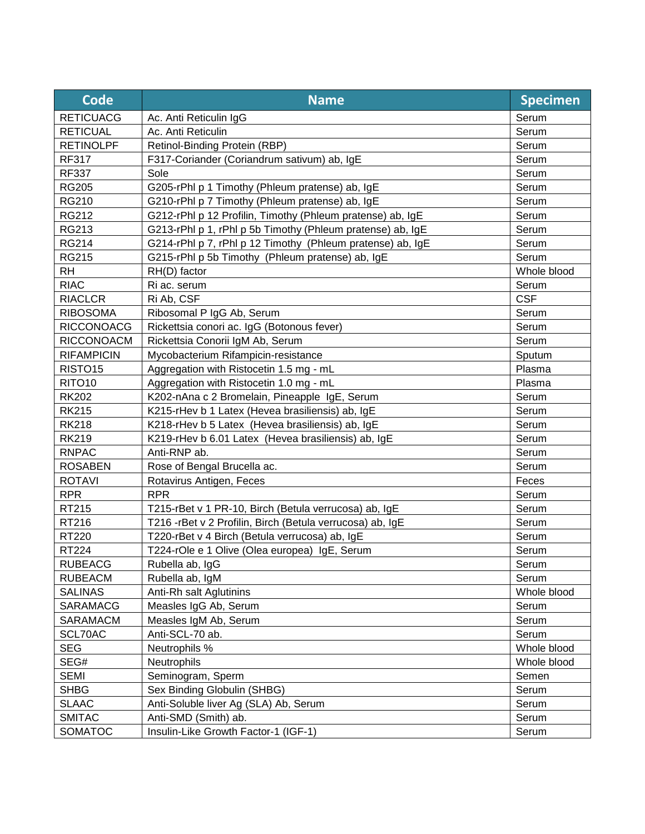| Code                | <b>Name</b>                                                | <b>Specimen</b> |
|---------------------|------------------------------------------------------------|-----------------|
| <b>RETICUACG</b>    | Ac. Anti Reticulin IgG                                     | Serum           |
| <b>RETICUAL</b>     | Ac. Anti Reticulin                                         | Serum           |
| <b>RETINOLPF</b>    | Retinol-Binding Protein (RBP)                              | Serum           |
| <b>RF317</b>        | F317-Coriander (Coriandrum sativum) ab, IgE                | Serum           |
| <b>RF337</b>        | Sole                                                       | Serum           |
| <b>RG205</b>        | G205-rPhl p 1 Timothy (Phleum pratense) ab, IgE            | Serum           |
| <b>RG210</b>        | G210-rPhl p 7 Timothy (Phleum pratense) ab, IgE            | Serum           |
| RG212               | G212-rPhl p 12 Profilin, Timothy (Phleum pratense) ab, IgE | Serum           |
| RG213               | G213-rPhl p 1, rPhl p 5b Timothy (Phleum pratense) ab, IgE | Serum           |
| <b>RG214</b>        | G214-rPhl p 7, rPhl p 12 Timothy (Phleum pratense) ab, IgE | Serum           |
| <b>RG215</b>        | G215-rPhl p 5b Timothy (Phleum pratense) ab, IgE           | Serum           |
| <b>RH</b>           | RH(D) factor                                               | Whole blood     |
| <b>RIAC</b>         | Ri ac. serum                                               | Serum           |
| <b>RIACLCR</b>      | Ri Ab, CSF                                                 | <b>CSF</b>      |
| <b>RIBOSOMA</b>     | Ribosomal P IgG Ab, Serum                                  | Serum           |
| <b>RICCONOACG</b>   | Rickettsia conori ac. IgG (Botonous fever)                 | Serum           |
| RICCONOACM          | Rickettsia Conorii IgM Ab, Serum                           | Serum           |
| <b>RIFAMPICIN</b>   | Mycobacterium Rifampicin-resistance                        | Sputum          |
| RISTO <sub>15</sub> | Aggregation with Ristocetin 1.5 mg - mL                    | Plasma          |
| RITO <sub>10</sub>  | Aggregation with Ristocetin 1.0 mg - mL                    | Plasma          |
| <b>RK202</b>        | K202-nAna c 2 Bromelain, Pineapple IgE, Serum              | Serum           |
| <b>RK215</b>        | K215-rHev b 1 Latex (Hevea brasiliensis) ab, IgE           | Serum           |
| <b>RK218</b>        | K218-rHev b 5 Latex (Hevea brasiliensis) ab, IgE           | Serum           |
| <b>RK219</b>        | K219-rHev b 6.01 Latex (Hevea brasiliensis) ab, IgE        | Serum           |
| <b>RNPAC</b>        | Anti-RNP ab.                                               | Serum           |
| <b>ROSABEN</b>      | Rose of Bengal Brucella ac.                                | Serum           |
| <b>ROTAVI</b>       | Rotavirus Antigen, Feces                                   | Feces           |
| <b>RPR</b>          | <b>RPR</b>                                                 | Serum           |
| RT215               | T215-rBet v 1 PR-10, Birch (Betula verrucosa) ab, IgE      | Serum           |
| RT216               | T216 - rBet v 2 Profilin, Birch (Betula verrucosa) ab, IgE | Serum           |
| <b>RT220</b>        | T220-rBet v 4 Birch (Betula verrucosa) ab, IgE             | Serum           |
| RT224               | T224-rOle e 1 Olive (Olea europea) IgE, Serum              | Serum           |
| <b>RUBEACG</b>      | Rubella ab, IgG                                            | Serum           |
| <b>RUBEACM</b>      | Rubella ab, IgM                                            | Serum           |
| <b>SALINAS</b>      | Anti-Rh salt Aglutinins                                    | Whole blood     |
| SARAMACG            | Measles IgG Ab, Serum                                      | Serum           |
| <b>SARAMACM</b>     | Measles IgM Ab, Serum                                      | Serum           |
| SCL70AC             | Anti-SCL-70 ab.                                            | Serum           |
| <b>SEG</b>          | Neutrophils %                                              | Whole blood     |
| SEG#                | Neutrophils                                                | Whole blood     |
| <b>SEMI</b>         | Seminogram, Sperm                                          | Semen           |
| <b>SHBG</b>         | Sex Binding Globulin (SHBG)                                | Serum           |
| <b>SLAAC</b>        | Anti-Soluble liver Ag (SLA) Ab, Serum                      | Serum           |
| <b>SMITAC</b>       | Anti-SMD (Smith) ab.                                       | Serum           |
| SOMATOC             | Insulin-Like Growth Factor-1 (IGF-1)                       | Serum           |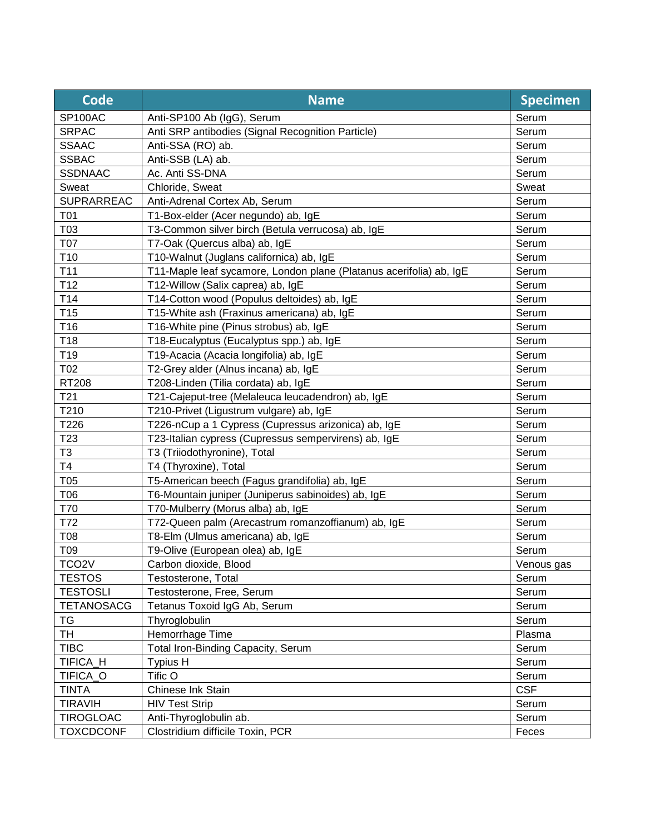| <b>Code</b>        | <b>Name</b>                                                         | <b>Specimen</b> |
|--------------------|---------------------------------------------------------------------|-----------------|
| SP100AC            | Anti-SP100 Ab (IgG), Serum                                          | Serum           |
| <b>SRPAC</b>       | Anti SRP antibodies (Signal Recognition Particle)                   | Serum           |
| <b>SSAAC</b>       | Anti-SSA (RO) ab.                                                   | Serum           |
| <b>SSBAC</b>       | Anti-SSB (LA) ab.                                                   | Serum           |
| <b>SSDNAAC</b>     | Ac. Anti SS-DNA                                                     | Serum           |
| Sweat              | Chloride, Sweat                                                     | Sweat           |
| <b>SUPRARREAC</b>  | Anti-Adrenal Cortex Ab, Serum                                       | Serum           |
| T01                | T1-Box-elder (Acer negundo) ab, IgE                                 | Serum           |
| T03                | T3-Common silver birch (Betula verrucosa) ab, IgE                   | Serum           |
| T07                | T7-Oak (Quercus alba) ab, IgE                                       | Serum           |
| T <sub>10</sub>    | T10-Walnut (Juglans californica) ab, IgE                            | Serum           |
| T11                | T11-Maple leaf sycamore, London plane (Platanus acerifolia) ab, IgE | Serum           |
| T <sub>12</sub>    | T12-Willow (Salix caprea) ab, IgE                                   | Serum           |
| T14                | T14-Cotton wood (Populus deltoides) ab, IgE                         | Serum           |
| T <sub>15</sub>    | T15-White ash (Fraxinus americana) ab, IgE                          | Serum           |
| T <sub>16</sub>    | T16-White pine (Pinus strobus) ab, IgE                              | Serum           |
| T18                | T18-Eucalyptus (Eucalyptus spp.) ab, IgE                            | Serum           |
| T <sub>19</sub>    | T19-Acacia (Acacia longifolia) ab, IgE                              | Serum           |
| T02                | T2-Grey alder (Alnus incana) ab, IgE                                | Serum           |
| <b>RT208</b>       | T208-Linden (Tilia cordata) ab, IgE                                 | Serum           |
| T <sub>21</sub>    | T21-Cajeput-tree (Melaleuca leucadendron) ab, IgE                   | Serum           |
| T210               | T210-Privet (Ligustrum vulgare) ab, IgE                             | Serum           |
| T226               | T226-nCup a 1 Cypress (Cupressus arizonica) ab, IgE                 | Serum           |
| T <sub>23</sub>    | T23-Italian cypress (Cupressus sempervirens) ab, IgE                | Serum           |
| T <sub>3</sub>     | T3 (Triiodothyronine), Total                                        | Serum           |
| T <sub>4</sub>     | T4 (Thyroxine), Total                                               | Serum           |
| T05                | T5-American beech (Fagus grandifolia) ab, IgE                       | Serum           |
| T06                | T6-Mountain juniper (Juniperus sabinoides) ab, IgE                  | Serum           |
| T70                | T70-Mulberry (Morus alba) ab, IgE                                   | Serum           |
| T72                | T72-Queen palm (Arecastrum romanzoffianum) ab, IgE                  | Serum           |
| <b>T08</b>         | T8-Elm (Ulmus americana) ab, IgE                                    | Serum           |
| T09                | T9-Olive (European olea) ab, IgE                                    | Serum           |
| TCO <sub>2</sub> V | Carbon dioxide, Blood                                               | Venous gas      |
| <b>TESTOS</b>      | Testosterone, Total                                                 | Serum           |
| <b>TESTOSLI</b>    | Testosterone, Free, Serum                                           | Serum           |
| <b>TETANOSACG</b>  | Tetanus Toxoid IgG Ab, Serum                                        | Serum           |
| <b>TG</b>          | Thyroglobulin                                                       | Serum           |
| TH                 | Hemorrhage Time                                                     | Plasma          |
| <b>TIBC</b>        | Total Iron-Binding Capacity, Serum                                  | Serum           |
| TIFICA_H           | Typius H                                                            | Serum           |
| TIFICA_O           | Tific O                                                             | Serum           |
| <b>TINTA</b>       | Chinese Ink Stain                                                   | <b>CSF</b>      |
| <b>TIRAVIH</b>     | <b>HIV Test Strip</b>                                               | Serum           |
| <b>TIROGLOAC</b>   | Anti-Thyroglobulin ab.                                              | Serum           |
| <b>TOXCDCONF</b>   | Clostridium difficile Toxin, PCR                                    | Feces           |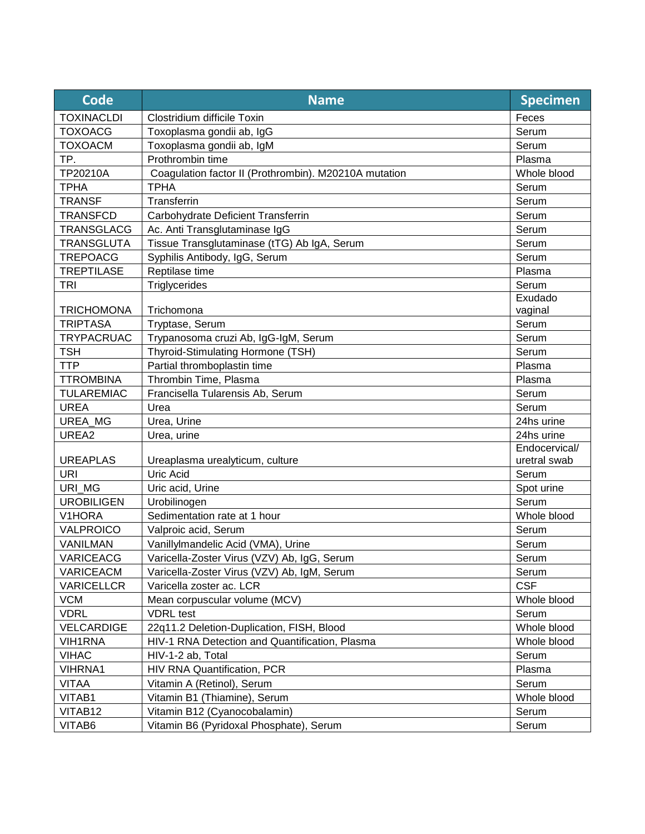| <b>TOXINACLDI</b><br>Clostridium difficile Toxin<br>Feces<br>Serum<br><b>TOXOACG</b><br>Toxoplasma gondii ab, IgG<br><b>TOXOACM</b><br>Toxoplasma gondii ab, IgM<br>Serum<br>Prothrombin time<br>TP.<br>Plasma<br>TP20210A<br>Coagulation factor II (Prothrombin). M20210A mutation<br>Whole blood<br><b>TPHA</b><br><b>TPHA</b><br>Serum<br>Serum<br><b>TRANSF</b><br>Transferrin<br>Serum<br><b>TRANSFCD</b><br>Carbohydrate Deficient Transferrin<br><b>TRANSGLACG</b><br>Ac. Anti Transglutaminase IgG<br>Serum<br><b>TRANSGLUTA</b><br>Tissue Transglutaminase (tTG) Ab IgA, Serum<br>Serum<br><b>TREPOACG</b><br>Syphilis Antibody, IgG, Serum<br>Serum<br><b>TREPTILASE</b><br>Reptilase time<br>Plasma<br>Triglycerides<br>Serum<br><b>TRI</b><br>Exudado<br><b>TRICHOMONA</b><br>Trichomona<br>vaginal<br><b>TRIPTASA</b><br>Serum<br>Tryptase, Serum<br>Serum<br><b>TRYPACRUAC</b><br>Trypanosoma cruzi Ab, IgG-IgM, Serum<br><b>TSH</b><br>Thyroid-Stimulating Hormone (TSH)<br>Serum<br><b>TTP</b><br>Partial thromboplastin time<br>Plasma<br><b>TTROMBINA</b><br>Thrombin Time, Plasma<br>Plasma<br>Francisella Tularensis Ab, Serum<br><b>TULAREMIAC</b><br>Serum<br><b>UREA</b><br>Serum<br>Urea<br>UREA_MG<br>Urea, Urine<br>24hs urine<br>UREA2<br>24hs urine<br>Urea, urine<br>Endocervical/<br><b>UREAPLAS</b><br>Ureaplasma urealyticum, culture<br>uretral swab<br>Uric Acid<br>Serum<br><b>URI</b><br>URI MG<br>Uric acid, Urine<br>Spot urine<br>Serum<br><b>UROBILIGEN</b><br>Urobilinogen<br>V1HORA<br>Sedimentation rate at 1 hour<br>Whole blood<br>Serum<br>VALPROICO<br>Valproic acid, Serum<br>Vanillylmandelic Acid (VMA), Urine<br>Serum<br>VANILMAN<br>Varicella-Zoster Virus (VZV) Ab, IgG, Serum<br>VARICEACG<br>Serum<br>VARICEACM<br>Varicella-Zoster Virus (VZV) Ab, IgM, Serum<br>Serum<br><b>CSF</b><br><b>VARICELLCR</b><br>Varicella zoster ac. LCR |
|------------------------------------------------------------------------------------------------------------------------------------------------------------------------------------------------------------------------------------------------------------------------------------------------------------------------------------------------------------------------------------------------------------------------------------------------------------------------------------------------------------------------------------------------------------------------------------------------------------------------------------------------------------------------------------------------------------------------------------------------------------------------------------------------------------------------------------------------------------------------------------------------------------------------------------------------------------------------------------------------------------------------------------------------------------------------------------------------------------------------------------------------------------------------------------------------------------------------------------------------------------------------------------------------------------------------------------------------------------------------------------------------------------------------------------------------------------------------------------------------------------------------------------------------------------------------------------------------------------------------------------------------------------------------------------------------------------------------------------------------------------------------------------------------------------------------------------------------------------------------------------------------|
|                                                                                                                                                                                                                                                                                                                                                                                                                                                                                                                                                                                                                                                                                                                                                                                                                                                                                                                                                                                                                                                                                                                                                                                                                                                                                                                                                                                                                                                                                                                                                                                                                                                                                                                                                                                                                                                                                                |
|                                                                                                                                                                                                                                                                                                                                                                                                                                                                                                                                                                                                                                                                                                                                                                                                                                                                                                                                                                                                                                                                                                                                                                                                                                                                                                                                                                                                                                                                                                                                                                                                                                                                                                                                                                                                                                                                                                |
|                                                                                                                                                                                                                                                                                                                                                                                                                                                                                                                                                                                                                                                                                                                                                                                                                                                                                                                                                                                                                                                                                                                                                                                                                                                                                                                                                                                                                                                                                                                                                                                                                                                                                                                                                                                                                                                                                                |
|                                                                                                                                                                                                                                                                                                                                                                                                                                                                                                                                                                                                                                                                                                                                                                                                                                                                                                                                                                                                                                                                                                                                                                                                                                                                                                                                                                                                                                                                                                                                                                                                                                                                                                                                                                                                                                                                                                |
|                                                                                                                                                                                                                                                                                                                                                                                                                                                                                                                                                                                                                                                                                                                                                                                                                                                                                                                                                                                                                                                                                                                                                                                                                                                                                                                                                                                                                                                                                                                                                                                                                                                                                                                                                                                                                                                                                                |
|                                                                                                                                                                                                                                                                                                                                                                                                                                                                                                                                                                                                                                                                                                                                                                                                                                                                                                                                                                                                                                                                                                                                                                                                                                                                                                                                                                                                                                                                                                                                                                                                                                                                                                                                                                                                                                                                                                |
|                                                                                                                                                                                                                                                                                                                                                                                                                                                                                                                                                                                                                                                                                                                                                                                                                                                                                                                                                                                                                                                                                                                                                                                                                                                                                                                                                                                                                                                                                                                                                                                                                                                                                                                                                                                                                                                                                                |
|                                                                                                                                                                                                                                                                                                                                                                                                                                                                                                                                                                                                                                                                                                                                                                                                                                                                                                                                                                                                                                                                                                                                                                                                                                                                                                                                                                                                                                                                                                                                                                                                                                                                                                                                                                                                                                                                                                |
|                                                                                                                                                                                                                                                                                                                                                                                                                                                                                                                                                                                                                                                                                                                                                                                                                                                                                                                                                                                                                                                                                                                                                                                                                                                                                                                                                                                                                                                                                                                                                                                                                                                                                                                                                                                                                                                                                                |
|                                                                                                                                                                                                                                                                                                                                                                                                                                                                                                                                                                                                                                                                                                                                                                                                                                                                                                                                                                                                                                                                                                                                                                                                                                                                                                                                                                                                                                                                                                                                                                                                                                                                                                                                                                                                                                                                                                |
|                                                                                                                                                                                                                                                                                                                                                                                                                                                                                                                                                                                                                                                                                                                                                                                                                                                                                                                                                                                                                                                                                                                                                                                                                                                                                                                                                                                                                                                                                                                                                                                                                                                                                                                                                                                                                                                                                                |
|                                                                                                                                                                                                                                                                                                                                                                                                                                                                                                                                                                                                                                                                                                                                                                                                                                                                                                                                                                                                                                                                                                                                                                                                                                                                                                                                                                                                                                                                                                                                                                                                                                                                                                                                                                                                                                                                                                |
|                                                                                                                                                                                                                                                                                                                                                                                                                                                                                                                                                                                                                                                                                                                                                                                                                                                                                                                                                                                                                                                                                                                                                                                                                                                                                                                                                                                                                                                                                                                                                                                                                                                                                                                                                                                                                                                                                                |
|                                                                                                                                                                                                                                                                                                                                                                                                                                                                                                                                                                                                                                                                                                                                                                                                                                                                                                                                                                                                                                                                                                                                                                                                                                                                                                                                                                                                                                                                                                                                                                                                                                                                                                                                                                                                                                                                                                |
|                                                                                                                                                                                                                                                                                                                                                                                                                                                                                                                                                                                                                                                                                                                                                                                                                                                                                                                                                                                                                                                                                                                                                                                                                                                                                                                                                                                                                                                                                                                                                                                                                                                                                                                                                                                                                                                                                                |
|                                                                                                                                                                                                                                                                                                                                                                                                                                                                                                                                                                                                                                                                                                                                                                                                                                                                                                                                                                                                                                                                                                                                                                                                                                                                                                                                                                                                                                                                                                                                                                                                                                                                                                                                                                                                                                                                                                |
|                                                                                                                                                                                                                                                                                                                                                                                                                                                                                                                                                                                                                                                                                                                                                                                                                                                                                                                                                                                                                                                                                                                                                                                                                                                                                                                                                                                                                                                                                                                                                                                                                                                                                                                                                                                                                                                                                                |
|                                                                                                                                                                                                                                                                                                                                                                                                                                                                                                                                                                                                                                                                                                                                                                                                                                                                                                                                                                                                                                                                                                                                                                                                                                                                                                                                                                                                                                                                                                                                                                                                                                                                                                                                                                                                                                                                                                |
|                                                                                                                                                                                                                                                                                                                                                                                                                                                                                                                                                                                                                                                                                                                                                                                                                                                                                                                                                                                                                                                                                                                                                                                                                                                                                                                                                                                                                                                                                                                                                                                                                                                                                                                                                                                                                                                                                                |
|                                                                                                                                                                                                                                                                                                                                                                                                                                                                                                                                                                                                                                                                                                                                                                                                                                                                                                                                                                                                                                                                                                                                                                                                                                                                                                                                                                                                                                                                                                                                                                                                                                                                                                                                                                                                                                                                                                |
|                                                                                                                                                                                                                                                                                                                                                                                                                                                                                                                                                                                                                                                                                                                                                                                                                                                                                                                                                                                                                                                                                                                                                                                                                                                                                                                                                                                                                                                                                                                                                                                                                                                                                                                                                                                                                                                                                                |
|                                                                                                                                                                                                                                                                                                                                                                                                                                                                                                                                                                                                                                                                                                                                                                                                                                                                                                                                                                                                                                                                                                                                                                                                                                                                                                                                                                                                                                                                                                                                                                                                                                                                                                                                                                                                                                                                                                |
|                                                                                                                                                                                                                                                                                                                                                                                                                                                                                                                                                                                                                                                                                                                                                                                                                                                                                                                                                                                                                                                                                                                                                                                                                                                                                                                                                                                                                                                                                                                                                                                                                                                                                                                                                                                                                                                                                                |
|                                                                                                                                                                                                                                                                                                                                                                                                                                                                                                                                                                                                                                                                                                                                                                                                                                                                                                                                                                                                                                                                                                                                                                                                                                                                                                                                                                                                                                                                                                                                                                                                                                                                                                                                                                                                                                                                                                |
|                                                                                                                                                                                                                                                                                                                                                                                                                                                                                                                                                                                                                                                                                                                                                                                                                                                                                                                                                                                                                                                                                                                                                                                                                                                                                                                                                                                                                                                                                                                                                                                                                                                                                                                                                                                                                                                                                                |
|                                                                                                                                                                                                                                                                                                                                                                                                                                                                                                                                                                                                                                                                                                                                                                                                                                                                                                                                                                                                                                                                                                                                                                                                                                                                                                                                                                                                                                                                                                                                                                                                                                                                                                                                                                                                                                                                                                |
|                                                                                                                                                                                                                                                                                                                                                                                                                                                                                                                                                                                                                                                                                                                                                                                                                                                                                                                                                                                                                                                                                                                                                                                                                                                                                                                                                                                                                                                                                                                                                                                                                                                                                                                                                                                                                                                                                                |
|                                                                                                                                                                                                                                                                                                                                                                                                                                                                                                                                                                                                                                                                                                                                                                                                                                                                                                                                                                                                                                                                                                                                                                                                                                                                                                                                                                                                                                                                                                                                                                                                                                                                                                                                                                                                                                                                                                |
|                                                                                                                                                                                                                                                                                                                                                                                                                                                                                                                                                                                                                                                                                                                                                                                                                                                                                                                                                                                                                                                                                                                                                                                                                                                                                                                                                                                                                                                                                                                                                                                                                                                                                                                                                                                                                                                                                                |
|                                                                                                                                                                                                                                                                                                                                                                                                                                                                                                                                                                                                                                                                                                                                                                                                                                                                                                                                                                                                                                                                                                                                                                                                                                                                                                                                                                                                                                                                                                                                                                                                                                                                                                                                                                                                                                                                                                |
|                                                                                                                                                                                                                                                                                                                                                                                                                                                                                                                                                                                                                                                                                                                                                                                                                                                                                                                                                                                                                                                                                                                                                                                                                                                                                                                                                                                                                                                                                                                                                                                                                                                                                                                                                                                                                                                                                                |
|                                                                                                                                                                                                                                                                                                                                                                                                                                                                                                                                                                                                                                                                                                                                                                                                                                                                                                                                                                                                                                                                                                                                                                                                                                                                                                                                                                                                                                                                                                                                                                                                                                                                                                                                                                                                                                                                                                |
|                                                                                                                                                                                                                                                                                                                                                                                                                                                                                                                                                                                                                                                                                                                                                                                                                                                                                                                                                                                                                                                                                                                                                                                                                                                                                                                                                                                                                                                                                                                                                                                                                                                                                                                                                                                                                                                                                                |
|                                                                                                                                                                                                                                                                                                                                                                                                                                                                                                                                                                                                                                                                                                                                                                                                                                                                                                                                                                                                                                                                                                                                                                                                                                                                                                                                                                                                                                                                                                                                                                                                                                                                                                                                                                                                                                                                                                |
| <b>VCM</b><br>Mean corpuscular volume (MCV)<br>Whole blood                                                                                                                                                                                                                                                                                                                                                                                                                                                                                                                                                                                                                                                                                                                                                                                                                                                                                                                                                                                                                                                                                                                                                                                                                                                                                                                                                                                                                                                                                                                                                                                                                                                                                                                                                                                                                                     |
| <b>VDRL</b><br><b>VDRL</b> test<br>Serum                                                                                                                                                                                                                                                                                                                                                                                                                                                                                                                                                                                                                                                                                                                                                                                                                                                                                                                                                                                                                                                                                                                                                                                                                                                                                                                                                                                                                                                                                                                                                                                                                                                                                                                                                                                                                                                       |
| VELCARDIGE<br>22q11.2 Deletion-Duplication, FISH, Blood<br>Whole blood                                                                                                                                                                                                                                                                                                                                                                                                                                                                                                                                                                                                                                                                                                                                                                                                                                                                                                                                                                                                                                                                                                                                                                                                                                                                                                                                                                                                                                                                                                                                                                                                                                                                                                                                                                                                                         |
| <b>VIH1RNA</b><br>HIV-1 RNA Detection and Quantification, Plasma<br>Whole blood                                                                                                                                                                                                                                                                                                                                                                                                                                                                                                                                                                                                                                                                                                                                                                                                                                                                                                                                                                                                                                                                                                                                                                                                                                                                                                                                                                                                                                                                                                                                                                                                                                                                                                                                                                                                                |
| <b>VIHAC</b><br>HIV-1-2 ab, Total<br>Serum                                                                                                                                                                                                                                                                                                                                                                                                                                                                                                                                                                                                                                                                                                                                                                                                                                                                                                                                                                                                                                                                                                                                                                                                                                                                                                                                                                                                                                                                                                                                                                                                                                                                                                                                                                                                                                                     |
| HIV RNA Quantification, PCR<br><b>VIHRNA1</b><br>Plasma                                                                                                                                                                                                                                                                                                                                                                                                                                                                                                                                                                                                                                                                                                                                                                                                                                                                                                                                                                                                                                                                                                                                                                                                                                                                                                                                                                                                                                                                                                                                                                                                                                                                                                                                                                                                                                        |
| <b>VITAA</b><br>Vitamin A (Retinol), Serum<br>Serum                                                                                                                                                                                                                                                                                                                                                                                                                                                                                                                                                                                                                                                                                                                                                                                                                                                                                                                                                                                                                                                                                                                                                                                                                                                                                                                                                                                                                                                                                                                                                                                                                                                                                                                                                                                                                                            |
| VITAB1<br>Vitamin B1 (Thiamine), Serum<br>Whole blood                                                                                                                                                                                                                                                                                                                                                                                                                                                                                                                                                                                                                                                                                                                                                                                                                                                                                                                                                                                                                                                                                                                                                                                                                                                                                                                                                                                                                                                                                                                                                                                                                                                                                                                                                                                                                                          |
| Vitamin B12 (Cyanocobalamin)<br>VITAB12<br>Serum                                                                                                                                                                                                                                                                                                                                                                                                                                                                                                                                                                                                                                                                                                                                                                                                                                                                                                                                                                                                                                                                                                                                                                                                                                                                                                                                                                                                                                                                                                                                                                                                                                                                                                                                                                                                                                               |
| VITAB6<br>Vitamin B6 (Pyridoxal Phosphate), Serum<br>Serum                                                                                                                                                                                                                                                                                                                                                                                                                                                                                                                                                                                                                                                                                                                                                                                                                                                                                                                                                                                                                                                                                                                                                                                                                                                                                                                                                                                                                                                                                                                                                                                                                                                                                                                                                                                                                                     |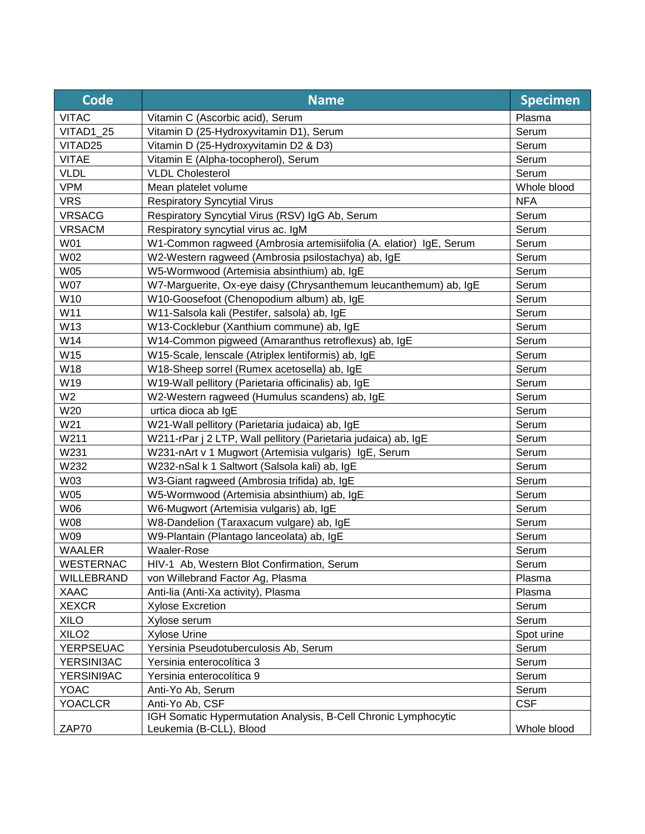| <b>Code</b>       | <b>Name</b>                                                                               | <b>Specimen</b> |
|-------------------|-------------------------------------------------------------------------------------------|-----------------|
| <b>VITAC</b>      | Vitamin C (Ascorbic acid), Serum                                                          | Plasma          |
| VITAD1 25         | Vitamin D (25-Hydroxyvitamin D1), Serum                                                   | Serum           |
| VITAD25           | Vitamin D (25-Hydroxyvitamin D2 & D3)                                                     | Serum           |
| <b>VITAE</b>      | Vitamin E (Alpha-tocopherol), Serum                                                       | Serum           |
| <b>VLDL</b>       | <b>VLDL Cholesterol</b>                                                                   | Serum           |
| <b>VPM</b>        | Mean platelet volume                                                                      | Whole blood     |
| <b>VRS</b>        | <b>Respiratory Syncytial Virus</b>                                                        | <b>NFA</b>      |
| <b>VRSACG</b>     | Respiratory Syncytial Virus (RSV) IgG Ab, Serum                                           | Serum           |
| <b>VRSACM</b>     | Respiratory syncytial virus ac. IgM                                                       | Serum           |
| W01               | W1-Common ragweed (Ambrosia artemisiifolia (A. elatior) IgE, Serum                        | Serum           |
| W02               | W2-Western ragweed (Ambrosia psilostachya) ab, IgE                                        | Serum           |
| W05               | W5-Wormwood (Artemisia absinthium) ab, IgE                                                | Serum           |
| <b>W07</b>        | W7-Marguerite, Ox-eye daisy (Chrysanthemum leucanthemum) ab, IgE                          | Serum           |
| W10               | W10-Goosefoot (Chenopodium album) ab, IgE                                                 | Serum           |
| W11               | W11-Salsola kali (Pestifer, salsola) ab, IgE                                              | Serum           |
| W13               | W13-Cocklebur (Xanthium commune) ab, IgE                                                  | Serum           |
| W14               | W14-Common pigweed (Amaranthus retroflexus) ab, IgE                                       | Serum           |
| W15               | W15-Scale, lenscale (Atriplex lentiformis) ab, IgE                                        | Serum           |
| W18               | W18-Sheep sorrel (Rumex acetosella) ab, IgE                                               | Serum           |
| W19               | W19-Wall pellitory (Parietaria officinalis) ab, IgE                                       | Serum           |
| W <sub>2</sub>    | W2-Western ragweed (Humulus scandens) ab, IgE                                             | Serum           |
| W20               | urtica dioca ab IgE                                                                       | Serum           |
| W21               | W21-Wall pellitory (Parietaria judaica) ab, IgE                                           | Serum           |
| W211              | W211-rPar j 2 LTP, Wall pellitory (Parietaria judaica) ab, IgE                            | Serum           |
| W231              | W231-nArt v 1 Mugwort (Artemisia vulgaris) IgE, Serum                                     | Serum           |
| W232              | W232-nSal k 1 Saltwort (Salsola kali) ab, IgE                                             | Serum           |
| W03               | W3-Giant ragweed (Ambrosia trifida) ab, IgE                                               | Serum           |
| <b>W05</b>        | W5-Wormwood (Artemisia absinthium) ab, IgE                                                | Serum           |
| W06               | W6-Mugwort (Artemisia vulgaris) ab, IgE                                                   | Serum           |
| W08               | W8-Dandelion (Taraxacum vulgare) ab, IgE                                                  | Serum           |
| W09               | W9-Plantain (Plantago lanceolata) ab, IgE                                                 | Serum           |
| <b>WAALER</b>     | Waaler-Rose                                                                               | Serum           |
| WESTERNAC         | HIV-1 Ab, Western Blot Confirmation, Serum                                                | Serum           |
| WILLEBRAND        | von Willebrand Factor Ag, Plasma                                                          | Plasma          |
| <b>XAAC</b>       | Anti-lia (Anti-Xa activity), Plasma                                                       | Plasma          |
| <b>XEXCR</b>      | <b>Xylose Excretion</b>                                                                   | Serum           |
| <b>XILO</b>       | Xylose serum                                                                              | Serum           |
| XILO <sub>2</sub> | <b>Xylose Urine</b>                                                                       | Spot urine      |
| <b>YERPSEUAC</b>  | Yersinia Pseudotuberculosis Ab, Serum                                                     | Serum           |
| YERSINI3AC        | Yersinia enterocolítica 3                                                                 | Serum           |
| YERSINI9AC        | Yersinia enterocolítica 9                                                                 | Serum           |
| <b>YOAC</b>       | Anti-Yo Ab, Serum                                                                         | Serum           |
| <b>YOACLCR</b>    | Anti-Yo Ab, CSF                                                                           | <b>CSF</b>      |
| ZAP70             | IGH Somatic Hypermutation Analysis, B-Cell Chronic Lymphocytic<br>Leukemia (B-CLL), Blood | Whole blood     |